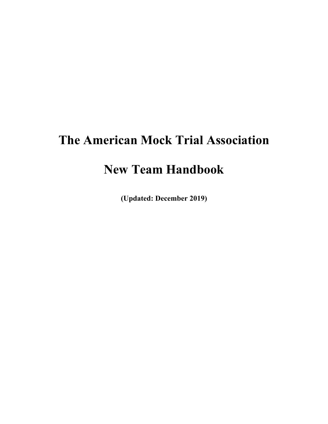# **The American Mock Trial Association**

## **New Team Handbook**

**(Updated: December 2019)**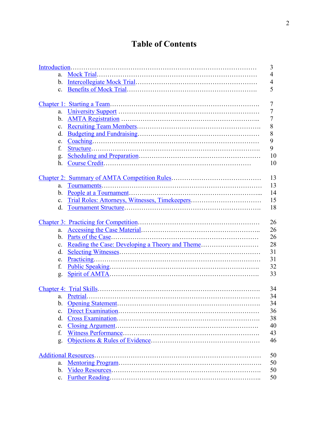## **Table of Contents**

|                | 3              |
|----------------|----------------|
| a.             | $\overline{4}$ |
| $\mathbf{b}$ . | $\overline{4}$ |
| $c_{\cdot}$    | 5              |
|                |                |
|                | 7              |
| a.             | 7              |
| $\mathbf{b}$ . | 7              |
| $\mathbf{c}$ . | $\,8\,$        |
| d.             | $\,8\,$        |
| e.             | 9              |
| f.             | 9              |
| g.             | 10             |
| h.             | 10             |
|                |                |
|                | 13             |
| a.             | 13             |
| $\mathbf{b}$ . | 14             |
| $c_{\cdot}$    | 15             |
| d.             | 18             |
|                |                |
|                | 26             |
| a.             | 26             |
| $\mathbf{b}$ . | 26             |
| $\mathbf{c}$ . | 28             |
| d.             | 31             |
| e.             | 31             |
| f.             | 32             |
| g.             | 33             |
|                |                |
|                | 34             |
|                | 34             |
|                | 34             |
| $\mathbf{c}$ . | 36             |
| d.             | 38             |
| e.             | 40             |
| f.             | 43             |
| g.             | 46             |
|                |                |
|                | 50             |
| a.             | 50             |
| $\mathbf{b}$ . | 50             |
| $c_{\cdot}$    | 50             |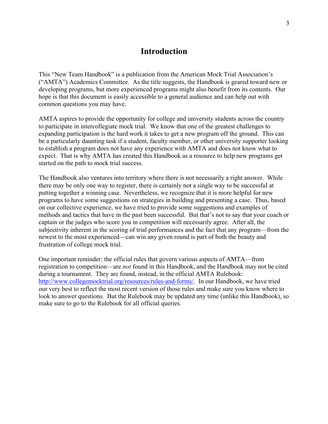### **Introduction**

This "New Team Handbook" is a publication from the American Mock Trial Association's ("AMTA") Academics Committee. As the title suggests, the Handbook is geared toward new or developing programs, but more experienced programs might also benefit from its contents. Our hope is that this document is easily accessible to a general audience and can help out with common questions you may have.

AMTA aspires to provide the opportunity for college and university students across the country to participate in intercollegiate mock trial. We know that one of the greatest challenges to expanding participation is the hard work it takes to get a new program off the ground. This can be a particularly daunting task if a student, faculty member, or other university supporter looking to establish a program does not have any experience with AMTA and does not know what to expect. That is why AMTA has created this Handbook as a resource to help new programs get started on the path to mock trial success.

The Handbook also ventures into territory where there is not necessarily a right answer. While there may be only one way to register, there is certainly not a single way to be successful at putting together a winning case. Nevertheless, we recognize that it is more helpful for new programs to have some suggestions on strategies in building and presenting a case. Thus, based on our collective experience, we have tried to provide some suggestions and examples of methods and tactics that have in the past been successful. But that's not to say that your coach or captain or the judges who score you in competition will necessarily agree. After all, the subjectivity inherent in the scoring of trial performances and the fact that any program—from the newest to the most experienced—can win any given round is part of both the beauty and frustration of college mock trial.

One important reminder: the official rules that govern various aspects of AMTA—from registration to competition—are *not* found in this Handbook, and the Handbook may not be cited during a tournament. They are found, instead, in the official AMTA Rulebook: http://www.collegemocktrial.org/resources/rules-and-forms/. In our Handbook, we have tried our very best to reflect the most recent version of those rules and make sure you know where to look to answer questions. But the Rulebook may be updated any time (unlike this Handbook), so make sure to go to the Rulebook for all official queries.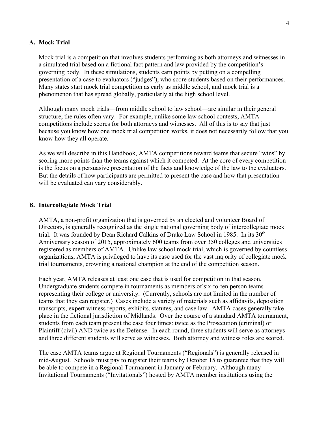#### **A. Mock Trial**

Mock trial is a competition that involves students performing as both attorneys and witnesses in a simulated trial based on a fictional fact pattern and law provided by the competition's governing body. In these simulations, students earn points by putting on a compelling presentation of a case to evaluators ("judges"), who score students based on their performances. Many states start mock trial competition as early as middle school, and mock trial is a phenomenon that has spread globally, particularly at the high school level.

Although many mock trials—from middle school to law school—are similar in their general structure, the rules often vary. For example, unlike some law school contests, AMTA competitions include scores for both attorneys and witnesses. All of this is to say that just because you know how one mock trial competition works, it does not necessarily follow that you know how they all operate.

As we will describe in this Handbook, AMTA competitions reward teams that secure "wins" by scoring more points than the teams against which it competed. At the core of every competition is the focus on a persuasive presentation of the facts and knowledge of the law to the evaluators. But the details of how participants are permitted to present the case and how that presentation will be evaluated can vary considerably.

#### **B. Intercollegiate Mock Trial**

AMTA, a non-profit organization that is governed by an elected and volunteer Board of Directors, is generally recognized as the single national governing body of intercollegiate mock trial. It was founded by Dean Richard Calkins of Drake Law School in 1985. In its 30<sup>th</sup> Anniversary season of 2015, approximately 600 teams from over 350 colleges and universities registered as members of AMTA. Unlike law school mock trial, which is governed by countless organizations, AMTA is privileged to have its case used for the vast majority of collegiate mock trial tournaments, crowning a national champion at the end of the competition season.

Each year, AMTA releases at least one case that is used for competition in that season. Undergraduate students compete in tournaments as members of six-to-ten person teams representing their college or university. (Currently, schools are not limited in the number of teams that they can register.) Cases include a variety of materials such as affidavits, deposition transcripts, expert witness reports, exhibits, statutes, and case law. AMTA cases generally take place in the fictional jurisdiction of Midlands. Over the course of a standard AMTA tournament, students from each team present the case four times: twice as the Prosecution (criminal) or Plaintiff (civil) AND twice as the Defense. In each round, three students will serve as attorneys and three different students will serve as witnesses. Both attorney and witness roles are scored.

The case AMTA teams argue at Regional Tournaments ("Regionals") is generally released in mid-August. Schools must pay to register their teams by October 15 to guarantee that they will be able to compete in a Regional Tournament in January or February. Although many Invitational Tournaments ("Invitationals") hosted by AMTA member institutions using the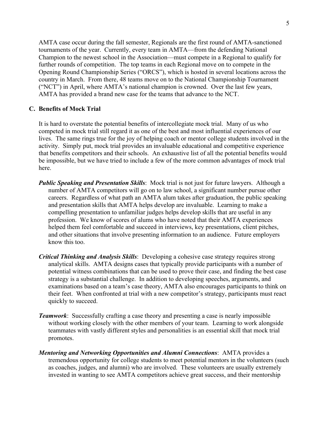AMTA case occur during the fall semester, Regionals are the first round of AMTA-sanctioned tournaments of the year. Currently, every team in AMTA—from the defending National Champion to the newest school in the Association—must compete in a Regional to qualify for further rounds of competition. The top teams in each Regional move on to compete in the Opening Round Championship Series ("ORCS"), which is hosted in several locations across the country in March. From there, 48 teams move on to the National Championship Tournament ("NCT") in April, where AMTA's national champion is crowned. Over the last few years, AMTA has provided a brand new case for the teams that advance to the NCT.

#### **C. Benefits of Mock Trial**

It is hard to overstate the potential benefits of intercollegiate mock trial. Many of us who competed in mock trial still regard it as one of the best and most influential experiences of our lives. The same rings true for the joy of helping coach or mentor college students involved in the activity. Simply put, mock trial provides an invaluable educational and competitive experience that benefits competitors and their schools. An exhaustive list of all the potential benefits would be impossible, but we have tried to include a few of the more common advantages of mock trial here.

- *Public Speaking and Presentation Skills*: Mock trial is not just for future lawyers. Although a number of AMTA competitors will go on to law school, a significant number pursue other careers. Regardless of what path an AMTA alum takes after graduation, the public speaking and presentation skills that AMTA helps develop are invaluable. Learning to make a compelling presentation to unfamiliar judges helps develop skills that are useful in any profession. We know of scores of alums who have noted that their AMTA experiences helped them feel comfortable and succeed in interviews, key presentations, client pitches, and other situations that involve presenting information to an audience. Future employers know this too.
- *Critical Thinking and Analysis Skills*: Developing a cohesive case strategy requires strong analytical skills. AMTA designs cases that typically provide participants with a number of potential witness combinations that can be used to prove their case, and finding the best case strategy is a substantial challenge. In addition to developing speeches, arguments, and examinations based on a team's case theory, AMTA also encourages participants to think on their feet. When confronted at trial with a new competitor's strategy, participants must react quickly to succeed.
- *Teamwork*: Successfully crafting a case theory and presenting a case is nearly impossible without working closely with the other members of your team. Learning to work alongside teammates with vastly different styles and personalities is an essential skill that mock trial promotes.
- *Mentoring and Networking Opportunities and Alumni Connections*: AMTA provides a tremendous opportunity for college students to meet potential mentors in the volunteers (such as coaches, judges, and alumni) who are involved. These volunteers are usually extremely invested in wanting to see AMTA competitors achieve great success, and their mentorship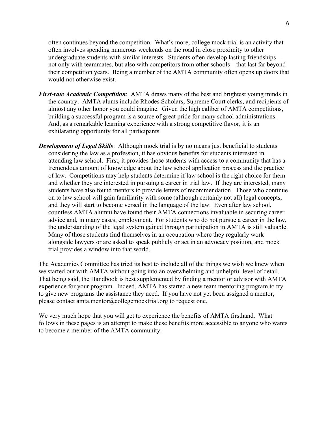often continues beyond the competition. What's more, college mock trial is an activity that often involves spending numerous weekends on the road in close proximity to other undergraduate students with similar interests. Students often develop lasting friendships not only with teammates, but also with competitors from other schools—that last far beyond their competition years. Being a member of the AMTA community often opens up doors that would not otherwise exist.

- *First-rate Academic Competition*: AMTA draws many of the best and brightest young minds in the country. AMTA alums include Rhodes Scholars, Supreme Court clerks, and recipients of almost any other honor you could imagine. Given the high caliber of AMTA competitions, building a successful program is a source of great pride for many school administrations. And, as a remarkable learning experience with a strong competitive flavor, it is an exhilarating opportunity for all participants.
- *Development of Legal Skills*: Although mock trial is by no means just beneficial to students considering the law as a profession, it has obvious benefits for students interested in attending law school. First, it provides those students with access to a community that has a tremendous amount of knowledge about the law school application process and the practice of law. Competitions may help students determine if law school is the right choice for them and whether they are interested in pursuing a career in trial law. If they are interested, many students have also found mentors to provide letters of recommendation. Those who continue on to law school will gain familiarity with some (although certainly not all) legal concepts, and they will start to become versed in the language of the law. Even after law school, countless AMTA alumni have found their AMTA connections invaluable in securing career advice and, in many cases, employment. For students who do not pursue a career in the law, the understanding of the legal system gained through participation in AMTA is still valuable. Many of those students find themselves in an occupation where they regularly work alongside lawyers or are asked to speak publicly or act in an advocacy position, and mock trial provides a window into that world.

The Academics Committee has tried its best to include all of the things we wish we knew when we started out with AMTA without going into an overwhelming and unhelpful level of detail. That being said, the Handbook is best supplemented by finding a mentor or advisor with AMTA experience for your program. Indeed, AMTA has started a new team mentoring program to try to give new programs the assistance they need. If you have not yet been assigned a mentor, please contact amta.mentor@collegemocktrial.org to request one.

We very much hope that you will get to experience the benefits of AMTA firsthand. What follows in these pages is an attempt to make these benefits more accessible to anyone who wants to become a member of the AMTA community.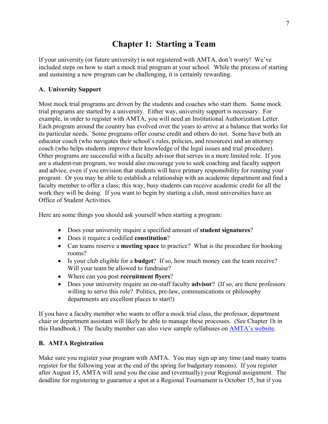## **Chapter 1: Starting a Team**

If your university (or future university) is not registered with AMTA, don't worry! We've included steps on how to start a mock trial program at your school. While the process of starting and sustaining a new program can be challenging, it is certainly rewarding.

#### **A. University Support**

Most mock trial programs are driven by the students and coaches who start them. Some mock trial programs are started by a university. Either way, university support is necessary. For example, in order to register with AMTA, you will need an Institutional Authorization Letter. Each program around the country has evolved over the years to arrive at a balance that works for its particular needs. Some programs offer course credit and others do not. Some have both an educator coach (who navigates their school's rules, policies, and resources) and an attorney coach (who helps students improve their knowledge of the legal issues and trial procedure). Other programs are successful with a faculty advisor that serves in a more limited role. If you are a student-run program, we would also encourage you to seek coaching and faculty support and advice, even if you envision that students will have primary responsibility for running your program. Or you may be able to establish a relationship with an academic department and find a faculty member to offer a class; this way, busy students can receive academic credit for all the work they will be doing. If you want to begin by starting a club, most universities have an Office of Student Activities.

Here are some things you should ask yourself when starting a program:

- Does your university require a specified amount of **student signatures**?
- Does it require a codified **constitution**?
- Can teams reserve a **meeting space** to practice? What is the procedure for booking rooms?
- Is your club eligible for a **budget**? If so, how much money can the team receive? Will your team be allowed to fundraise?
- Where can you post **recruitment flyers**?
- Does your university require an on-staff faculty **advisor**? (If so, are there professors willing to serve this role? Politics, pre-law, communications or philosophy departments are excellent places to start!)

If you have a faculty member who wants to offer a mock trial class, the professor, department chair or department assistant will likely be able to manage these processes. (See Chapter 1h in this Handbook.) The faculty member can also view sample syllabuses on AMTA's website.

#### **B. AMTA Registration**

Make sure you register your program with AMTA. You may sign up any time (and many teams register for the following year at the end of the spring for budgetary reasons). If you register after August 15, AMTA will send you the case and (eventually) your Regional assignment. The deadline for registering to guarantee a spot at a Regional Tournament is October 15, but if you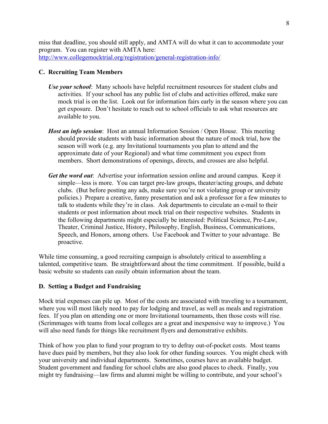miss that deadline, you should still apply, and AMTA will do what it can to accommodate your program. You can register with AMTA here: http://www.collegemocktrial.org/registration/general-registration-info/

#### **C. Recruiting Team Members**

- *Use your school*: Many schools have helpful recruitment resources for student clubs and activities. If your school has any public list of clubs and activities offered, make sure mock trial is on the list. Look out for information fairs early in the season where you can get exposure. Don't hesitate to reach out to school officials to ask what resources are available to you.
- *Host an info session*: Host an annual Information Session / Open House. This meeting should provide students with basic information about the nature of mock trial, how the season will work (e.g. any Invitational tournaments you plan to attend and the approximate date of your Regional) and what time commitment you expect from members. Short demonstrations of openings, directs, and crosses are also helpful.
- *Get the word out*: Advertise your information session online and around campus. Keep it simple—less is more. You can target pre-law groups, theater/acting groups, and debate clubs. (But before posting any ads, make sure you're not violating group or university policies.) Prepare a creative, funny presentation and ask a professor for a few minutes to talk to students while they're in class. Ask departments to circulate an e-mail to their students or post information about mock trial on their respective websites. Students in the following departments might especially be interested: Political Science, Pre-Law, Theater, Criminal Justice, History, Philosophy, English, Business, Communications, Speech, and Honors, among others. Use Facebook and Twitter to your advantage. Be proactive.

While time consuming, a good recruiting campaign is absolutely critical to assembling a talented, competitive team. Be straightforward about the time commitment. If possible, build a basic website so students can easily obtain information about the team.

#### **D. Setting a Budget and Fundraising**

Mock trial expenses can pile up. Most of the costs are associated with traveling to a tournament, where you will most likely need to pay for lodging and travel, as well as meals and registration fees. If you plan on attending one or more Invitational tournaments, then those costs will rise. (Scrimmages with teams from local colleges are a great and inexpensive way to improve.) You will also need funds for things like recruitment flyers and demonstrative exhibits.

Think of how you plan to fund your program to try to defray out-of-pocket costs. Most teams have dues paid by members, but they also look for other funding sources. You might check with your university and individual departments. Sometimes, courses have an available budget. Student government and funding for school clubs are also good places to check. Finally, you might try fundraising—law firms and alumni might be willing to contribute, and your school's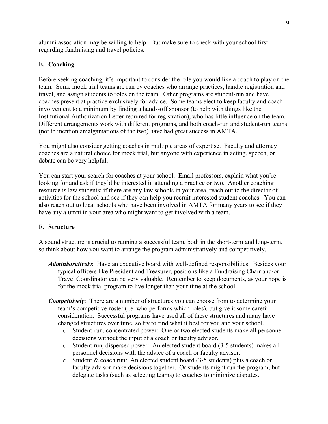alumni association may be willing to help. But make sure to check with your school first regarding fundraising and travel policies.

#### **E. Coaching**

Before seeking coaching, it's important to consider the role you would like a coach to play on the team. Some mock trial teams are run by coaches who arrange practices, handle registration and travel, and assign students to roles on the team. Other programs are student-run and have coaches present at practice exclusively for advice. Some teams elect to keep faculty and coach involvement to a minimum by finding a hands-off sponsor (to help with things like the Institutional Authorization Letter required for registration), who has little influence on the team. Different arrangements work with different programs, and both coach-run and student-run teams (not to mention amalgamations of the two) have had great success in AMTA.

You might also consider getting coaches in multiple areas of expertise. Faculty and attorney coaches are a natural choice for mock trial, but anyone with experience in acting, speech, or debate can be very helpful.

You can start your search for coaches at your school. Email professors, explain what you're looking for and ask if they'd be interested in attending a practice or two. Another coaching resource is law students; if there are any law schools in your area, reach out to the director of activities for the school and see if they can help you recruit interested student coaches. You can also reach out to local schools who have been involved in AMTA for many years to see if they have any alumni in your area who might want to get involved with a team.

#### **F. Structure**

A sound structure is crucial to running a successful team, both in the short-term and long-term, so think about how you want to arrange the program administratively and competitively.

- *Administratively*: Have an executive board with well-defined responsibilities. Besides your typical officers like President and Treasurer, positions like a Fundraising Chair and/or Travel Coordinator can be very valuable. Remember to keep documents, as your hope is for the mock trial program to live longer than your time at the school.
- *Competitively*: There are a number of structures you can choose from to determine your team's competitive roster (i.e. who performs which roles), but give it some careful consideration. Successful programs have used all of these structures and many have changed structures over time, so try to find what it best for you and your school.
	- o Student-run, concentrated power: One or two elected students make all personnel decisions without the input of a coach or faculty advisor.
	- o Student run, dispersed power: An elected student board (3-5 students) makes all personnel decisions with the advice of a coach or faculty advisor.
	- o Student & coach run: An elected student board (3-5 students) plus a coach or faculty advisor make decisions together. Or students might run the program, but delegate tasks (such as selecting teams) to coaches to minimize disputes.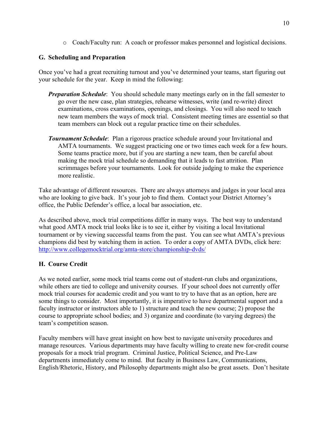o Coach/Faculty run: A coach or professor makes personnel and logistical decisions.

#### **G. Scheduling and Preparation**

Once you've had a great recruiting turnout and you've determined your teams, start figuring out your schedule for the year. Keep in mind the following:

- *Preparation Schedule*: You should schedule many meetings early on in the fall semester to go over the new case, plan strategies, rehearse witnesses, write (and re-write) direct examinations, cross examinations, openings, and closings. You will also need to teach new team members the ways of mock trial. Consistent meeting times are essential so that team members can block out a regular practice time on their schedules.
- *Tournament Schedule*: Plan a rigorous practice schedule around your Invitational and AMTA tournaments. We suggest practicing one or two times each week for a few hours. Some teams practice more, but if you are starting a new team, then be careful about making the mock trial schedule so demanding that it leads to fast attrition. Plan scrimmages before your tournaments. Look for outside judging to make the experience more realistic.

Take advantage of different resources. There are always attorneys and judges in your local area who are looking to give back. It's your job to find them. Contact your District Attorney's office, the Public Defender's office, a local bar association, etc.

As described above, mock trial competitions differ in many ways. The best way to understand what good AMTA mock trial looks like is to see it, either by visiting a local Invitational tournament or by viewing successful teams from the past. You can see what AMTA's previous champions did best by watching them in action. To order a copy of AMTA DVDs, click here: http://www.collegemocktrial.org/amta-store/championship-dvds/

#### **H. Course Credit**

As we noted earlier, some mock trial teams come out of student-run clubs and organizations, while others are tied to college and university courses. If your school does not currently offer mock trial courses for academic credit and you want to try to have that as an option, here are some things to consider. Most importantly, it is imperative to have departmental support and a faculty instructor or instructors able to 1) structure and teach the new course; 2) propose the course to appropriate school bodies; and 3) organize and coordinate (to varying degrees) the team's competition season.

Faculty members will have great insight on how best to navigate university procedures and manage resources. Various departments may have faculty willing to create new for-credit course proposals for a mock trial program. Criminal Justice, Political Science, and Pre-Law departments immediately come to mind. But faculty in Business Law, Communications, English/Rhetoric, History, and Philosophy departments might also be great assets. Don't hesitate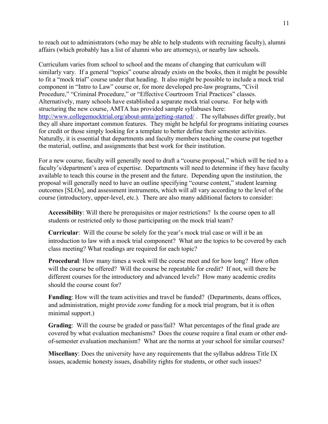to reach out to administrators (who may be able to help students with recruiting faculty), alumni affairs (which probably has a list of alumni who are attorneys), or nearby law schools.

Curriculum varies from school to school and the means of changing that curriculum will similarly vary. If a general "topics" course already exists on the books, then it might be possible to fit a "mock trial" course under that heading. It also might be possible to include a mock trial component in "Intro to Law" course or, for more developed pre-law programs, "Civil Procedure," "Criminal Procedure," or "Effective Courtroom Trial Practices" classes. Alternatively, many schools have established a separate mock trial course. For help with structuring the new course, AMTA has provided sample syllabuses here: http://www.collegemocktrial.org/about-amta/getting-started/. The syllabuses differ greatly, but they all share important common features. They might be helpful for programs initiating courses for credit or those simply looking for a template to better define their semester activities. Naturally, it is essential that departments and faculty members teaching the course put together the material, outline, and assignments that best work for their institution.

For a new course, faculty will generally need to draft a "course proposal," which will be tied to a faculty's/department's area of expertise. Departments will need to determine if they have faculty available to teach this course in the present and the future. Depending upon the institution, the proposal will generally need to have an outline specifying "course content," student learning outcomes [SLOs], and assessment instruments, which will all vary according to the level of the course (introductory, upper-level, etc.). There are also many additional factors to consider:

**Accessibility**: Will there be prerequisites or major restrictions? Is the course open to all students or restricted only to those participating on the mock trial team?

**Curricular**: Will the course be solely for the year's mock trial case or will it be an introduction to law with a mock trial component? What are the topics to be covered by each class meeting? What readings are required for each topic?

**Procedural**: How many times a week will the course meet and for how long? How often will the course be offered? Will the course be repeatable for credit? If not, will there be different courses for the introductory and advanced levels? How many academic credits should the course count for?

**Funding**: How will the team activities and travel be funded? (Departments, deans offices, and administration, might provide *some* funding for a mock trial program, but it is often minimal support.)

**Grading**: Will the course be graded or pass/fail? What percentages of the final grade are covered by what evaluation mechanisms? Does the course require a final exam or other endof-semester evaluation mechanism? What are the norms at your school for similar courses?

**Miscellany**: Does the university have any requirements that the syllabus address Title IX issues, academic honesty issues, disability rights for students, or other such issues?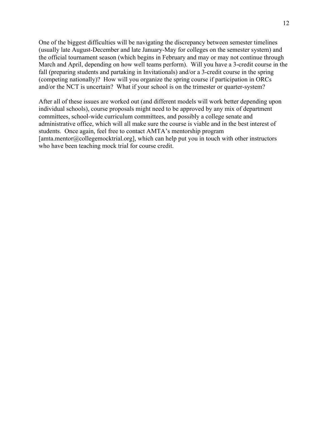One of the biggest difficulties will be navigating the discrepancy between semester timelines (usually late August-December and late January-May for colleges on the semester system) and the official tournament season (which begins in February and may or may not continue through March and April, depending on how well teams perform). Will you have a 3-credit course in the fall (preparing students and partaking in Invitationals) and/or a 3-credit course in the spring (competing nationally)? How will you organize the spring course if participation in ORCs and/or the NCT is uncertain? What if your school is on the trimester or quarter-system?

After all of these issues are worked out (and different models will work better depending upon individual schools), course proposals might need to be approved by any mix of department committees, school-wide curriculum committees, and possibly a college senate and administrative office, which will all make sure the course is viable and in the best interest of students. Once again, feel free to contact AMTA's mentorship program [amta.mentor@collegemocktrial.org], which can help put you in touch with other instructors who have been teaching mock trial for course credit.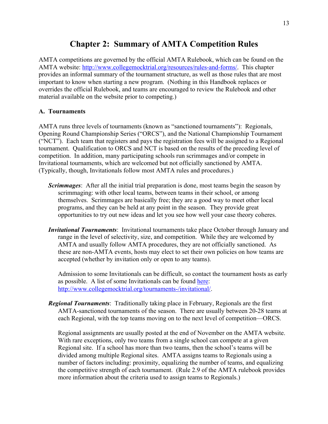## **Chapter 2: Summary of AMTA Competition Rules**

AMTA competitions are governed by the official AMTA Rulebook, which can be found on the AMTA website: http://www.collegemocktrial.org/resources/rules-and-forms/. This chapter provides an informal summary of the tournament structure, as well as those rules that are most important to know when starting a new program. (Nothing in this Handbook replaces or overrides the official Rulebook, and teams are encouraged to review the Rulebook and other material available on the website prior to competing.)

#### **A. Tournaments**

AMTA runs three levels of tournaments (known as "sanctioned tournaments"): Regionals, Opening Round Championship Series ("ORCS"), and the National Championship Tournament ("NCT"). Each team that registers and pays the registration fees will be assigned to a Regional tournament. Qualification to ORCS and NCT is based on the results of the preceding level of competition. In addition, many participating schools run scrimmages and/or compete in Invitational tournaments, which are welcomed but not officially sanctioned by AMTA. (Typically, though, Invitationals follow most AMTA rules and procedures.)

- *Scrimmages*: After all the initial trial preparation is done, most teams begin the season by scrimmaging: with other local teams, between teams in their school, or among themselves. Scrimmages are basically free; they are a good way to meet other local programs, and they can be held at any point in the season. They provide great opportunities to try out new ideas and let you see how well your case theory coheres.
- *Invitational Tournaments*: Invitational tournaments take place October through January and range in the level of selectivity, size, and competition. While they are welcomed by AMTA and usually follow AMTA procedures, they are not officially sanctioned. As these are non-AMTA events, hosts may elect to set their own policies on how teams are accepted (whether by invitation only or open to any teams).

Admission to some Invitationals can be difficult, so contact the tournament hosts as early as possible. A list of some Invitationals can be found here: http://www.collegemocktrial.org/tournaments-/invitational/.

*Regional Tournaments*: Traditionally taking place in February, Regionals are the first AMTA-sanctioned tournaments of the season. There are usually between 20-28 teams at each Regional, with the top teams moving on to the next level of competition—ORCS.

Regional assignments are usually posted at the end of November on the AMTA website. With rare exceptions, only two teams from a single school can compete at a given Regional site. If a school has more than two teams, then the school's teams will be divided among multiple Regional sites. AMTA assigns teams to Regionals using a number of factors including: proximity, equalizing the number of teams, and equalizing the competitive strength of each tournament. (Rule 2.9 of the AMTA rulebook provides more information about the criteria used to assign teams to Regionals.)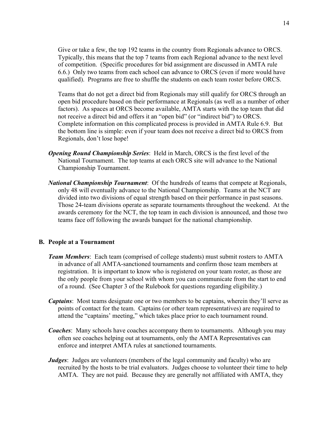Give or take a few, the top 192 teams in the country from Regionals advance to ORCS. Typically, this means that the top 7 teams from each Regional advance to the next level of competition. (Specific procedures for bid assignment are discussed in AMTA rule 6.6.) Only two teams from each school can advance to ORCS (even if more would have qualified). Programs are free to shuffle the students on each team roster before ORCS.

Teams that do not get a direct bid from Regionals may still qualify for ORCS through an open bid procedure based on their performance at Regionals (as well as a number of other factors). As spaces at ORCS become available, AMTA starts with the top team that did not receive a direct bid and offers it an "open bid" (or "indirect bid") to ORCS. Complete information on this complicated process is provided in AMTA Rule 6.9. But the bottom line is simple: even if your team does not receive a direct bid to ORCS from Regionals, don't lose hope!

- *Opening Round Championship Series*: Held in March, ORCS is the first level of the National Tournament. The top teams at each ORCS site will advance to the National Championship Tournament.
- *National Championship Tournament*: Of the hundreds of teams that compete at Regionals, only 48 will eventually advance to the National Championship. Teams at the NCT are divided into two divisions of equal strength based on their performance in past seasons. Those 24-team divisions operate as separate tournaments throughout the weekend. At the awards ceremony for the NCT, the top team in each division is announced, and those two teams face off following the awards banquet for the national championship.

#### **B. People at a Tournament**

- *Team Members*: Each team (comprised of college students) must submit rosters to AMTA in advance of all AMTA-sanctioned tournaments and confirm those team members at registration. It is important to know who is registered on your team roster, as those are the only people from your school with whom you can communicate from the start to end of a round. (See Chapter 3 of the Rulebook for questions regarding eligibility.)
- *Captains*: Most teams designate one or two members to be captains, wherein they'll serve as points of contact for the team. Captains (or other team representatives) are required to attend the "captains' meeting," which takes place prior to each tournament round.
- *Coaches*: Many schools have coaches accompany them to tournaments. Although you may often see coaches helping out at tournaments, only the AMTA Representatives can enforce and interpret AMTA rules at sanctioned tournaments.
- *Judges*: Judges are volunteers (members of the legal community and faculty) who are recruited by the hosts to be trial evaluators. Judges choose to volunteer their time to help AMTA. They are not paid. Because they are generally not affiliated with AMTA, they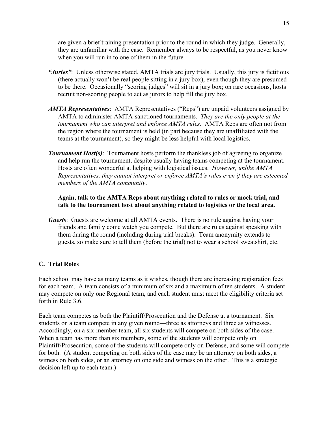are given a brief training presentation prior to the round in which they judge. Generally, they are unfamiliar with the case. Remember always to be respectful, as you never know when you will run in to one of them in the future.

- *"Juries"*: Unless otherwise stated, AMTA trials are jury trials. Usually, this jury is fictitious (there actually won't be real people sitting in a jury box), even though they are presumed to be there. Occasionally "scoring judges" will sit in a jury box; on rare occasions, hosts recruit non-scoring people to act as jurors to help fill the jury box.
- *AMTA Representatives*: AMTA Representatives ("Reps") are unpaid volunteers assigned by AMTA to administer AMTA-sanctioned tournaments. *They are the only people at the tournament who can interpret and enforce AMTA rules.* AMTA Reps are often not from the region where the tournament is held (in part because they are unaffiliated with the teams at the tournament), so they might be less helpful with local logistics.
- *Tournament Host(s)*: Tournament hosts perform the thankless job of agreeing to organize and help run the tournament, despite usually having teams competing at the tournament. Hosts are often wonderful at helping with logistical issues. *However, unlike AMTA Representatives, they cannot interpret or enforce AMTA's rules even if they are esteemed members of the AMTA community*.

#### **Again, talk to the AMTA Reps about anything related to rules or mock trial, and talk to the tournament host about anything related to logistics or the local area.**

*Guests*: Guests are welcome at all AMTA events. There is no rule against having your friends and family come watch you compete. But there are rules against speaking with them during the round (including during trial breaks). Team anonymity extends to guests, so make sure to tell them (before the trial) not to wear a school sweatshirt, etc.

#### **C. Trial Roles**

Each school may have as many teams as it wishes, though there are increasing registration fees for each team. A team consists of a minimum of six and a maximum of ten students. A student may compete on only one Regional team, and each student must meet the eligibility criteria set forth in Rule 3.6.

Each team competes as both the Plaintiff/Prosecution and the Defense at a tournament. Six students on a team compete in any given round—three as attorneys and three as witnesses. Accordingly, on a six-member team, all six students will compete on both sides of the case. When a team has more than six members, some of the students will compete only on Plaintiff/Prosecution, some of the students will compete only on Defense, and some will compete for both. (A student competing on both sides of the case may be an attorney on both sides, a witness on both sides, or an attorney on one side and witness on the other. This is a strategic decision left up to each team.)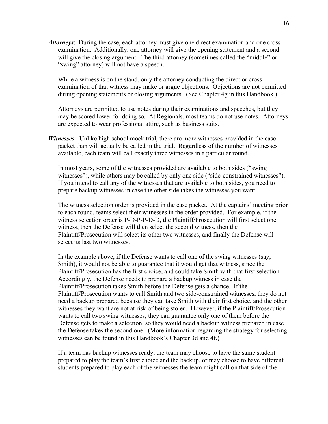*Attorneys*: During the case, each attorney must give one direct examination and one cross examination. Additionally, one attorney will give the opening statement and a second will give the closing argument. The third attorney (sometimes called the "middle" or "swing" attorney) will not have a speech.

While a witness is on the stand, only the attorney conducting the direct or cross examination of that witness may make or argue objections. Objections are not permitted during opening statements or closing arguments. (See Chapter 4g in this Handbook.)

Attorneys are permitted to use notes during their examinations and speeches, but they may be scored lower for doing so. At Regionals, most teams do not use notes. Attorneys are expected to wear professional attire, such as business suits.

*Witnesses*: Unlike high school mock trial, there are more witnesses provided in the case packet than will actually be called in the trial. Regardless of the number of witnesses available, each team will call exactly three witnesses in a particular round.

In most years, some of the witnesses provided are available to both sides ("swing witnesses"), while others may be called by only one side ("side-constrained witnesses"). If you intend to call any of the witnesses that are available to both sides, you need to prepare backup witnesses in case the other side takes the witnesses you want.

The witness selection order is provided in the case packet. At the captains' meeting prior to each round, teams select their witnesses in the order provided. For example, if the witness selection order is P-D-P-P-D-D, the Plaintiff/Prosecution will first select one witness, then the Defense will then select the second witness, then the Plaintiff/Prosecution will select its other two witnesses, and finally the Defense will select its last two witnesses.

In the example above, if the Defense wants to call one of the swing witnesses (say, Smith), it would not be able to guarantee that it would get that witness, since the Plaintiff/Prosecution has the first choice, and could take Smith with that first selection. Accordingly, the Defense needs to prepare a backup witness in case the Plaintiff/Prosecution takes Smith before the Defense gets a chance. If the Plaintiff/Prosecution wants to call Smith and two side-constrained witnesses, they do not need a backup prepared because they can take Smith with their first choice, and the other witnesses they want are not at risk of being stolen. However, if the Plaintiff/Prosecution wants to call two swing witnesses, they can guarantee only one of them before the Defense gets to make a selection, so they would need a backup witness prepared in case the Defense takes the second one. (More information regarding the strategy for selecting witnesses can be found in this Handbook's Chapter 3d and 4f.)

If a team has backup witnesses ready, the team may choose to have the same student prepared to play the team's first choice and the backup, or may choose to have different students prepared to play each of the witnesses the team might call on that side of the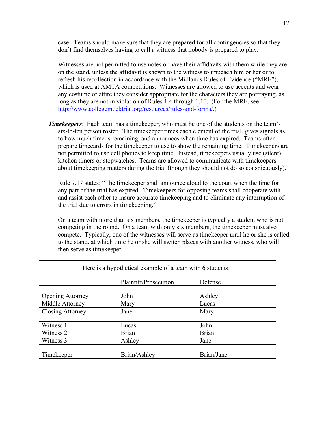case. Teams should make sure that they are prepared for all contingencies so that they don't find themselves having to call a witness that nobody is prepared to play.

Witnesses are not permitted to use notes or have their affidavits with them while they are on the stand, unless the affidavit is shown to the witness to impeach him or her or to refresh his recollection in accordance with the Midlands Rules of Evidence ("MRE"), which is used at AMTA competitions. Witnesses are allowed to use accents and wear any costume or attire they consider appropriate for the characters they are portraying, as long as they are not in violation of Rules 1.4 through 1.10. (For the MRE, see: http://www.collegemocktrial.org/resources/rules-and-forms/.)

**Timekeepers**: Each team has a timekeeper, who must be one of the students on the team's six-to-ten person roster. The timekeeper times each element of the trial, gives signals as to how much time is remaining, and announces when time has expired. Teams often prepare timecards for the timekeeper to use to show the remaining time. Timekeepers are not permitted to use cell phones to keep time. Instead, timekeepers usually use (silent) kitchen timers or stopwatches. Teams are allowed to communicate with timekeepers about timekeeping matters during the trial (though they should not do so conspicuously).

Rule 7.17 states: "The timekeeper shall announce aloud to the court when the time for any part of the trial has expired. Timekeepers for opposing teams shall cooperate with and assist each other to insure accurate timekeeping and to eliminate any interruption of the trial due to errors in timekeeping."

On a team with more than six members, the timekeeper is typically a student who is not competing in the round. On a team with only six members, the timekeeper must also compete. Typically, one of the witnesses will serve as timekeeper until he or she is called to the stand, at which time he or she will switch places with another witness, who will then serve as timekeeper.

| Here is a hypothetical example of a team with 6 students: |                       |              |  |  |
|-----------------------------------------------------------|-----------------------|--------------|--|--|
|                                                           | Plaintiff/Prosecution | Defense      |  |  |
|                                                           |                       |              |  |  |
| <b>Opening Attorney</b>                                   | John                  | Ashley       |  |  |
| Middle Attorney                                           | Mary                  | Lucas        |  |  |
| <b>Closing Attorney</b>                                   | Jane                  | Mary         |  |  |
|                                                           |                       |              |  |  |
| Witness 1                                                 | Lucas                 | John         |  |  |
| Witness 2                                                 | <b>Brian</b>          | <b>Brian</b> |  |  |
| Witness 3                                                 | Ashley                | Jane         |  |  |
|                                                           |                       |              |  |  |
| Timekeeper                                                | Brian/Ashley          | Brian/Jane   |  |  |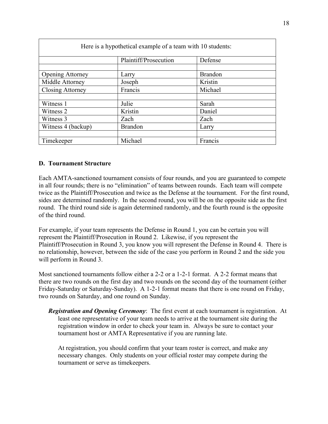| Here is a hypothetical example of a team with 10 students: |                       |                |  |  |
|------------------------------------------------------------|-----------------------|----------------|--|--|
|                                                            | Plaintiff/Prosecution | Defense        |  |  |
| <b>Opening Attorney</b>                                    | Larry                 | <b>Brandon</b> |  |  |
| Middle Attorney                                            | Joseph                | Kristin        |  |  |
| Closing Attorney                                           | Francis               | Michael        |  |  |
|                                                            |                       |                |  |  |
| Witness 1                                                  | Julie                 | Sarah          |  |  |
| Witness 2                                                  | Kristin               | Daniel         |  |  |
| Witness 3                                                  | Zach                  | Zach           |  |  |
| Witness 4 (backup)                                         | <b>Brandon</b>        | Larry          |  |  |
|                                                            |                       |                |  |  |
| Timekeeper                                                 | Michael               | Francis        |  |  |

#### **D. Tournament Structure**

Each AMTA-sanctioned tournament consists of four rounds, and you are guaranteed to compete in all four rounds; there is no "elimination" of teams between rounds. Each team will compete twice as the Plaintiff/Prosecution and twice as the Defense at the tournament. For the first round, sides are determined randomly. In the second round, you will be on the opposite side as the first round. The third round side is again determined randomly, and the fourth round is the opposite of the third round.

For example, if your team represents the Defense in Round 1, you can be certain you will represent the Plaintiff/Prosecution in Round 2. Likewise, if you represent the Plaintiff/Prosecution in Round 3, you know you will represent the Defense in Round 4. There is no relationship, however, between the side of the case you perform in Round 2 and the side you will perform in Round 3.

Most sanctioned tournaments follow either a 2-2 or a 1-2-1 format. A 2-2 format means that there are two rounds on the first day and two rounds on the second day of the tournament (either Friday-Saturday or Saturday-Sunday). A 1-2-1 format means that there is one round on Friday, two rounds on Saturday, and one round on Sunday.

*Registration and Opening Ceremony*: The first event at each tournament is registration. At least one representative of your team needs to arrive at the tournament site during the registration window in order to check your team in. Always be sure to contact your tournament host or AMTA Representative if you are running late.

At registration, you should confirm that your team roster is correct, and make any necessary changes. Only students on your official roster may compete during the tournament or serve as timekeepers.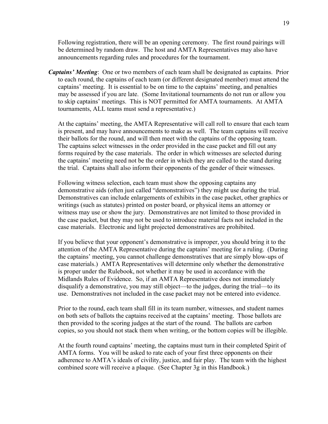Following registration, there will be an opening ceremony. The first round pairings will be determined by random draw. The host and AMTA Representatives may also have announcements regarding rules and procedures for the tournament.

*Captains' Meeting*: One or two members of each team shall be designated as captains. Prior to each round, the captains of each team (or different designated member) must attend the captains' meeting. It is essential to be on time to the captains' meeting, and penalties may be assessed if you are late. (Some Invitational tournaments do not run or allow you to skip captains' meetings. This is NOT permitted for AMTA tournaments. At AMTA tournaments, ALL teams must send a representative.)

At the captains' meeting, the AMTA Representative will call roll to ensure that each team is present, and may have announcements to make as well. The team captains will receive their ballots for the round, and will then meet with the captains of the opposing team. The captains select witnesses in the order provided in the case packet and fill out any forms required by the case materials. The order in which witnesses are selected during the captains' meeting need not be the order in which they are called to the stand during the trial. Captains shall also inform their opponents of the gender of their witnesses.

Following witness selection, each team must show the opposing captains any demonstrative aids (often just called "demonstratives") they might use during the trial. Demonstratives can include enlargements of exhibits in the case packet, other graphics or writings (such as statutes) printed on poster board, or physical items an attorney or witness may use or show the jury. Demonstratives are not limited to those provided in the case packet, but they may not be used to introduce material facts not included in the case materials. Electronic and light projected demonstratives are prohibited.

If you believe that your opponent's demonstrative is improper, you should bring it to the attention of the AMTA Representative during the captains' meeting for a ruling. (During the captains' meeting, you cannot challenge demonstratives that are simply blow-ups of case materials.) AMTA Representatives will determine only whether the demonstrative is proper under the Rulebook, not whether it may be used in accordance with the Midlands Rules of Evidence. So, if an AMTA Representative does not immediately disqualify a demonstrative, you may still object—to the judges, during the trial—to its use. Demonstratives not included in the case packet may not be entered into evidence.

Prior to the round, each team shall fill in its team number, witnesses, and student names on both sets of ballots the captains received at the captains' meeting. Those ballots are then provided to the scoring judges at the start of the round. The ballots are carbon copies, so you should not stack them when writing, or the bottom copies will be illegible.

At the fourth round captains' meeting, the captains must turn in their completed Spirit of AMTA forms. You will be asked to rate each of your first three opponents on their adherence to AMTA's ideals of civility, justice, and fair play. The team with the highest combined score will receive a plaque. (See Chapter 3g in this Handbook.)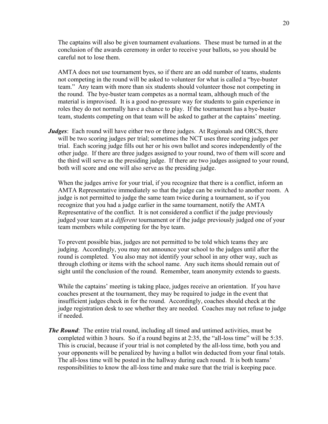The captains will also be given tournament evaluations. These must be turned in at the conclusion of the awards ceremony in order to receive your ballots, so you should be careful not to lose them.

AMTA does not use tournament byes, so if there are an odd number of teams, students not competing in the round will be asked to volunteer for what is called a "bye-buster team." Any team with more than six students should volunteer those not competing in the round. The bye-buster team competes as a normal team, although much of the material is improvised. It is a good no-pressure way for students to gain experience in roles they do not normally have a chance to play. If the tournament has a bye-buster team, students competing on that team will be asked to gather at the captains' meeting.

*Judges*: Each round will have either two or three judges. At Regionals and ORCS, there will be two scoring judges per trial; sometimes the NCT uses three scoring judges per trial. Each scoring judge fills out her or his own ballot and scores independently of the other judge. If there are three judges assigned to your round, two of them will score and the third will serve as the presiding judge. If there are two judges assigned to your round, both will score and one will also serve as the presiding judge.

When the judges arrive for your trial, if you recognize that there is a conflict, inform an AMTA Representative immediately so that the judge can be switched to another room. A judge is not permitted to judge the same team twice during a tournament, so if you recognize that you had a judge earlier in the same tournament, notify the AMTA Representative of the conflict. It is not considered a conflict if the judge previously judged your team at a *different* tournament or if the judge previously judged one of your team members while competing for the bye team.

To prevent possible bias, judges are not permitted to be told which teams they are judging. Accordingly, you may not announce your school to the judges until after the round is completed. You also may not identify your school in any other way, such as through clothing or items with the school name. Any such items should remain out of sight until the conclusion of the round. Remember, team anonymity extends to guests.

While the captains' meeting is taking place, judges receive an orientation. If you have coaches present at the tournament, they may be required to judge in the event that insufficient judges check in for the round. Accordingly, coaches should check at the judge registration desk to see whether they are needed. Coaches may not refuse to judge if needed.

*The Round*: The entire trial round, including all timed and untimed activities, must be completed within 3 hours. So if a round begins at 2:35, the "all-loss time" will be 5:35. This is crucial, because if your trial is not completed by the all-loss time, both you and your opponents will be penalized by having a ballot win deducted from your final totals. The all-loss time will be posted in the hallway during each round. It is both teams' responsibilities to know the all-loss time and make sure that the trial is keeping pace.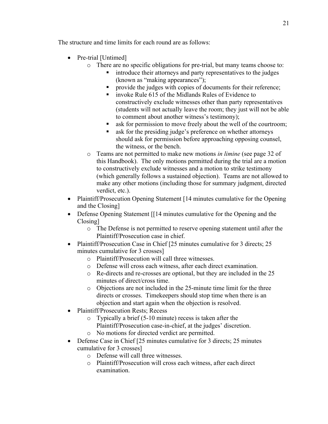The structure and time limits for each round are as follows:

- Pre-trial [Untimed]
	- o There are no specific obligations for pre-trial, but many teams choose to:
		- § introduce their attorneys and party representatives to the judges (known as "making appearances");
		- § provide the judges with copies of documents for their reference;
		- § invoke Rule 615 of the Midlands Rules of Evidence to constructively exclude witnesses other than party representatives (students will not actually leave the room; they just will not be able to comment about another witness's testimony);
		- ask for permission to move freely about the well of the courtroom;
		- ask for the presiding judge's preference on whether attorneys should ask for permission before approaching opposing counsel, the witness, or the bench.
	- o Teams are not permitted to make new motions *in limine* (see page 32 of this Handbook). The only motions permitted during the trial are a motion to constructively exclude witnesses and a motion to strike testimony (which generally follows a sustained objection). Teams are not allowed to make any other motions (including those for summary judgment, directed verdict, etc.).
- Plaintiff/Prosecution Opening Statement [14 minutes cumulative for the Opening and the Closing]
- Defense Opening Statement [14 minutes cumulative for the Opening and the Closing]
	- o The Defense is not permitted to reserve opening statement until after the Plaintiff/Prosecution case in chief.
- Plaintiff/Prosecution Case in Chief [25 minutes cumulative for 3 directs; 25 minutes cumulative for 3 crosses]
	- o Plaintiff/Prosecution will call three witnesses.
	- o Defense will cross each witness, after each direct examination.
	- o Re-directs and re-crosses are optional, but they are included in the 25 minutes of direct/cross time.
	- o Objections are not included in the 25-minute time limit for the three directs or crosses. Timekeepers should stop time when there is an objection and start again when the objection is resolved.
- Plaintiff/Prosecution Rests; Recess
	- o Typically a brief (5-10 minute) recess is taken after the
	- Plaintiff/Prosecution case-in-chief, at the judges' discretion.
	- o No motions for directed verdict are permitted.
- Defense Case in Chief [25 minutes cumulative for 3 directs; 25 minutes cumulative for 3 crosses]
	- o Defense will call three witnesses.
	- o Plaintiff/Prosecution will cross each witness, after each direct examination.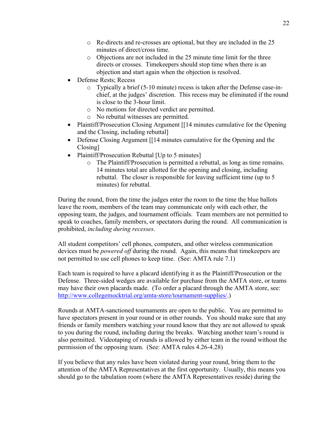- o Re-directs and re-crosses are optional, but they are included in the 25 minutes of direct/cross time.
- o Objections are not included in the 25 minute time limit for the three directs or crosses. Timekeepers should stop time when there is an objection and start again when the objection is resolved.
- Defense Rests; Recess
	- o Typically a brief (5-10 minute) recess is taken after the Defense case-inchief, at the judges' discretion. This recess may be eliminated if the round is close to the 3-hour limit.
	- o No motions for directed verdict are permitted.
	- o No rebuttal witnesses are permitted.
- Plaintiff/Prosecution Closing Argument [14 minutes cumulative for the Opening and the Closing, including rebuttal]
- Defense Closing Argument [14 minutes cumulative for the Opening and the Closing]
- Plaintiff/Prosecution Rebuttal [Up to 5 minutes]
	- o The Plaintiff/Prosecution is permitted a rebuttal, as long as time remains. 14 minutes total are allotted for the opening and closing, including rebuttal. The closer is responsible for leaving sufficient time (up to 5 minutes) for rebuttal.

During the round, from the time the judges enter the room to the time the blue ballots leave the room, members of the team may communicate only with each other, the opposing team, the judges, and tournament officials. Team members are not permitted to speak to coaches, family members, or spectators during the round. All communication is prohibited, *including during recesses*.

All student competitors' cell phones, computers, and other wireless communication devices must be *powered off* during the round. Again, this means that timekeepers are not permitted to use cell phones to keep time. (See: AMTA rule 7.1)

Each team is required to have a placard identifying it as the Plaintiff/Prosecution or the Defense. Three-sided wedges are available for purchase from the AMTA store, or teams may have their own placards made. (To order a placard through the AMTA store, see: http://www.collegemocktrial.org/amta-store/tournament-supplies/.)

Rounds at AMTA-sanctioned tournaments are open to the public. You are permitted to have spectators present in your round or in other rounds. You should make sure that any friends or family members watching your round know that they are not allowed to speak to you during the round, including during the breaks. Watching another team's round is also permitted. Videotaping of rounds is allowed by either team in the round without the permission of the opposing team. (See: AMTA rules 4.26-4.28)

If you believe that any rules have been violated during your round, bring them to the attention of the AMTA Representatives at the first opportunity. Usually, this means you should go to the tabulation room (where the AMTA Representatives reside) during the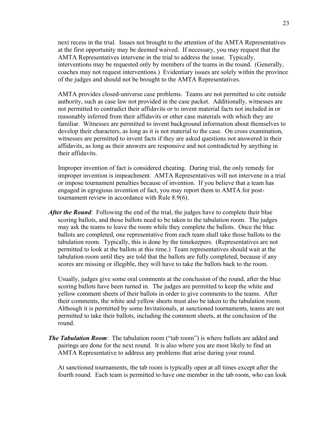next recess in the trial. Issues not brought to the attention of the AMTA Representatives at the first opportunity may be deemed waived. If necessary, you may request that the AMTA Representatives intervene in the trial to address the issue. Typically, interventions may be requested only by members of the teams in the round. (Generally, coaches may not request interventions.) Evidentiary issues are solely within the province of the judges and should not be brought to the AMTA Representatives.

AMTA provides closed-universe case problems. Teams are not permitted to cite outside authority, such as case law not provided in the case packet. Additionally, witnesses are not permitted to contradict their affidavits or to invent material facts not included in or reasonably inferred from their affidavits or other case materials with which they are familiar. Witnesses are permitted to invent background information about themselves to develop their characters, as long as it is not material to the case. On cross examination, witnesses are permitted to invent facts if they are asked questions not answered in their affidavits, as long as their answers are responsive and not contradicted by anything in their affidavits.

Improper invention of fact is considered cheating. During trial, the only remedy for improper invention is impeachment. AMTA Representatives will not intervene in a trial or impose tournament penalties because of invention. If you believe that a team has engaged in egregious invention of fact, you may report them to AMTA for posttournament review in accordance with Rule 8.9(6).

*After the Round*: Following the end of the trial, the judges have to complete their blue scoring ballots, and those ballots need to be taken to the tabulation room. The judges may ask the teams to leave the room while they complete the ballots. Once the blue ballots are completed, one representative from each team shall take those ballots to the tabulation room. Typically, this is done by the timekeepers. (Representatives are not permitted to look at the ballots at this time.) Team representatives should wait at the tabulation room until they are told that the ballots are fully completed, because if any scores are missing or illegible, they will have to take the ballots back to the room.

Usually, judges give some oral comments at the conclusion of the round, after the blue scoring ballots have been turned in. The judges are permitted to keep the white and yellow comment sheets of their ballots in order to give comments to the teams. After their comments, the white and yellow sheets must also be taken to the tabulation room. Although it is permitted by some Invitationals, at sanctioned tournaments, teams are not permitted to take their ballots, including the comment sheets, at the conclusion of the round.

*The Tabulation Room*: The tabulation room ("tab room") is where ballots are added and pairings are done for the next round. It is also where you are most likely to find an AMTA Representative to address any problems that arise during your round.

At sanctioned tournaments, the tab room is typically open at all times except after the fourth round. Each team is permitted to have one member in the tab room, who can look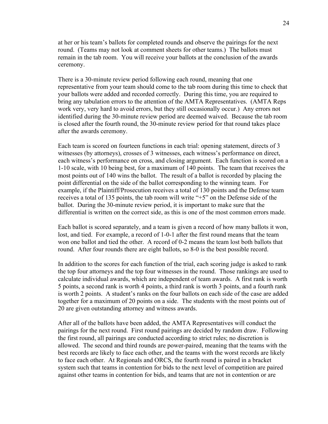at her or his team's ballots for completed rounds and observe the pairings for the next round. (Teams may not look at comment sheets for other teams.) The ballots must remain in the tab room. You will receive your ballots at the conclusion of the awards ceremony.

There is a 30-minute review period following each round, meaning that one representative from your team should come to the tab room during this time to check that your ballots were added and recorded correctly. During this time, you are required to bring any tabulation errors to the attention of the AMTA Representatives. (AMTA Reps work very, very hard to avoid errors, but they still occasionally occur.) Any errors not identified during the 30-minute review period are deemed waived. Because the tab room is closed after the fourth round, the 30-minute review period for that round takes place after the awards ceremony.

Each team is scored on fourteen functions in each trial: opening statement, directs of 3 witnesses (by attorneys), crosses of 3 witnesses, each witness's performance on direct, each witness's performance on cross, and closing argument. Each function is scored on a 1-10 scale, with 10 being best, for a maximum of 140 points. The team that receives the most points out of 140 wins the ballot. The result of a ballot is recorded by placing the point differential on the side of the ballot corresponding to the winning team. For example, if the Plaintiff/Prosecution receives a total of 130 points and the Defense team receives a total of 135 points, the tab room will write "+5" on the Defense side of the ballot. During the 30-minute review period, it is important to make sure that the differential is written on the correct side, as this is one of the most common errors made.

Each ballot is scored separately, and a team is given a record of how many ballots it won, lost, and tied. For example, a record of 1-0-1 after the first round means that the team won one ballot and tied the other. A record of 0-2 means the team lost both ballots that round. After four rounds there are eight ballots, so 8-0 is the best possible record.

In addition to the scores for each function of the trial, each scoring judge is asked to rank the top four attorneys and the top four witnesses in the round. Those rankings are used to calculate individual awards, which are independent of team awards. A first rank is worth 5 points, a second rank is worth 4 points, a third rank is worth 3 points, and a fourth rank is worth 2 points. A student's ranks on the four ballots on each side of the case are added together for a maximum of 20 points on a side. The students with the most points out of 20 are given outstanding attorney and witness awards.

After all of the ballots have been added, the AMTA Representatives will conduct the pairings for the next round. First round pairings are decided by random draw. Following the first round, all pairings are conducted according to strict rules; no discretion is allowed. The second and third rounds are power-paired, meaning that the teams with the best records are likely to face each other, and the teams with the worst records are likely to face each other. At Regionals and ORCS, the fourth round is paired in a bracket system such that teams in contention for bids to the next level of competition are paired against other teams in contention for bids, and teams that are not in contention or are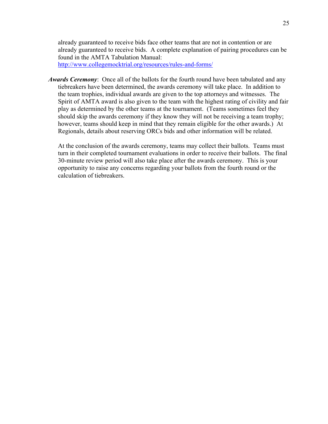already guaranteed to receive bids face other teams that are not in contention or are already guaranteed to receive bids. A complete explanation of pairing procedures can be found in the AMTA Tabulation Manual:

http://www.collegemocktrial.org/resources/rules-and-forms/

*Awards Ceremony*: Once all of the ballots for the fourth round have been tabulated and any tiebreakers have been determined, the awards ceremony will take place. In addition to the team trophies, individual awards are given to the top attorneys and witnesses. The Spirit of AMTA award is also given to the team with the highest rating of civility and fair play as determined by the other teams at the tournament. (Teams sometimes feel they should skip the awards ceremony if they know they will not be receiving a team trophy; however, teams should keep in mind that they remain eligible for the other awards.) At Regionals, details about reserving ORCs bids and other information will be related.

At the conclusion of the awards ceremony, teams may collect their ballots. Teams must turn in their completed tournament evaluations in order to receive their ballots. The final 30-minute review period will also take place after the awards ceremony. This is your opportunity to raise any concerns regarding your ballots from the fourth round or the calculation of tiebreakers.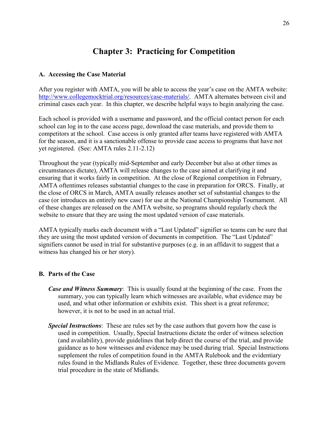## **Chapter 3: Practicing for Competition**

#### **A. Accessing the Case Material**

After you register with AMTA, you will be able to access the year's case on the AMTA website: http://www.collegemocktrial.org/resources/case-materials/. AMTA alternates between civil and criminal cases each year. In this chapter, we describe helpful ways to begin analyzing the case.

Each school is provided with a username and password, and the official contact person for each school can log in to the case access page, download the case materials, and provide them to competitors at the school. Case access is only granted after teams have registered with AMTA for the season, and it is a sanctionable offense to provide case access to programs that have not yet registered. (See: AMTA rules 2.11-2.12)

Throughout the year (typically mid-September and early December but also at other times as circumstances dictate), AMTA will release changes to the case aimed at clarifying it and ensuring that it works fairly in competition. At the close of Regional competition in February, AMTA oftentimes releases substantial changes to the case in preparation for ORCS. Finally, at the close of ORCS in March, AMTA usually releases another set of substantial changes to the case (or introduces an entirely new case) for use at the National Championship Tournament. All of these changes are released on the AMTA website, so programs should regularly check the website to ensure that they are using the most updated version of case materials.

AMTA typically marks each document with a "Last Updated" signifier so teams can be sure that they are using the most updated version of documents in competition. The "Last Updated" signifiers cannot be used in trial for substantive purposes (e.g. in an affidavit to suggest that a witness has changed his or her story).

#### **B. Parts of the Case**

- *Case and Witness Summary*: This is usually found at the beginning of the case. From the summary, you can typically learn which witnesses are available, what evidence may be used, and what other information or exhibits exist. This sheet is a great reference; however, it is not to be used in an actual trial.
- *Special Instructions*: These are rules set by the case authors that govern how the case is used in competition. Usually, Special Instructions dictate the order of witness selection (and availability), provide guidelines that help direct the course of the trial, and provide guidance as to how witnesses and evidence may be used during trial. Special Instructions supplement the rules of competition found in the AMTA Rulebook and the evidentiary rules found in the Midlands Rules of Evidence. Together, these three documents govern trial procedure in the state of Midlands.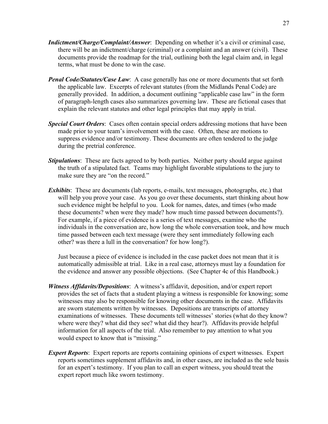- *Indictment/Charge/Complaint/Answer*: Depending on whether it's a civil or criminal case, there will be an indictment/charge (criminal) or a complaint and an answer (civil). These documents provide the roadmap for the trial, outlining both the legal claim and, in legal terms, what must be done to win the case.
- *Penal Code/Statutes/Case Law*: A case generally has one or more documents that set forth the applicable law. Excerpts of relevant statutes (from the Midlands Penal Code) are generally provided. In addition, a document outlining "applicable case law" in the form of paragraph-length cases also summarizes governing law. These are fictional cases that explain the relevant statutes and other legal principles that may apply in trial.
- *Special Court Orders*: Cases often contain special orders addressing motions that have been made prior to your team's involvement with the case. Often, these are motions to suppress evidence and/or testimony. These documents are often tendered to the judge during the pretrial conference.
- *Stipulations*: These are facts agreed to by both parties. Neither party should argue against the truth of a stipulated fact. Teams may highlight favorable stipulations to the jury to make sure they are "on the record."
- *Exhibits*: These are documents (lab reports, e-mails, text messages, photographs, etc.) that will help you prove your case. As you go over these documents, start thinking about how such evidence might be helpful to you. Look for names, dates, and times (who made these documents? when were they made? how much time passed between documents?). For example, if a piece of evidence is a series of text messages, examine who the individuals in the conversation are, how long the whole conversation took, and how much time passed between each text message (were they sent immediately following each other? was there a lull in the conversation? for how long?).

Just because a piece of evidence is included in the case packet does not mean that it is automatically admissible at trial. Like in a real case, attorneys must lay a foundation for the evidence and answer any possible objections. (See Chapter 4c of this Handbook.)

- *Witness Affidavits/Depositions*: A witness's affidavit, deposition, and/or expert report provides the set of facts that a student playing a witness is responsible for knowing; some witnesses may also be responsible for knowing other documents in the case. Affidavits are sworn statements written by witnesses. Depositions are transcripts of attorney examinations of witnesses. These documents tell witnesses' stories (what do they know? where were they? what did they see? what did they hear?). Affidavits provide helpful information for all aspects of the trial. Also remember to pay attention to what you would expect to know that is "missing."
- *Expert Reports*: Expert reports are reports containing opinions of expert witnesses. Expert reports sometimes supplement affidavits and, in other cases, are included as the sole basis for an expert's testimony. If you plan to call an expert witness, you should treat the expert report much like sworn testimony.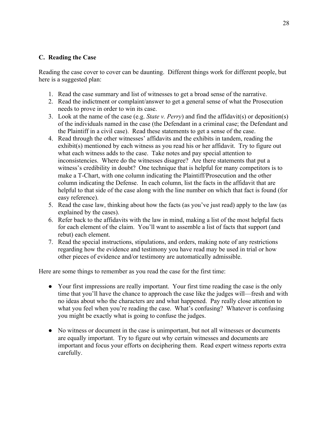#### **C. Reading the Case**

Reading the case cover to cover can be daunting. Different things work for different people, but here is a suggested plan:

- 1. Read the case summary and list of witnesses to get a broad sense of the narrative.
- 2. Read the indictment or complaint/answer to get a general sense of what the Prosecution needs to prove in order to win its case.
- 3. Look at the name of the case (e.g. *State v. Perry*) and find the affidavit(s) or deposition(s) of the individuals named in the case (the Defendant in a criminal case; the Defendant and the Plaintiff in a civil case). Read these statements to get a sense of the case.
- 4. Read through the other witnesses' affidavits and the exhibits in tandem, reading the exhibit(s) mentioned by each witness as you read his or her affidavit. Try to figure out what each witness adds to the case. Take notes and pay special attention to inconsistencies. Where do the witnesses disagree? Are there statements that put a witness's credibility in doubt? One technique that is helpful for many competitors is to make a T-Chart, with one column indicating the Plaintiff/Prosecution and the other column indicating the Defense. In each column, list the facts in the affidavit that are helpful to that side of the case along with the line number on which that fact is found (for easy reference).
- 5. Read the case law, thinking about how the facts (as you've just read) apply to the law (as explained by the cases).
- 6. Refer back to the affidavits with the law in mind, making a list of the most helpful facts for each element of the claim. You'll want to assemble a list of facts that support (and rebut) each element.
- 7. Read the special instructions, stipulations, and orders, making note of any restrictions regarding how the evidence and testimony you have read may be used in trial or how other pieces of evidence and/or testimony are automatically admissible.

Here are some things to remember as you read the case for the first time:

- Your first impressions are really important. Your first time reading the case is the only time that you'll have the chance to approach the case like the judges will—fresh and with no ideas about who the characters are and what happened. Pay really close attention to what you feel when you're reading the case. What's confusing? Whatever is confusing you might be exactly what is going to confuse the judges.
- No witness or document in the case is unimportant, but not all witnesses or documents are equally important. Try to figure out why certain witnesses and documents are important and focus your efforts on deciphering them. Read expert witness reports extra carefully.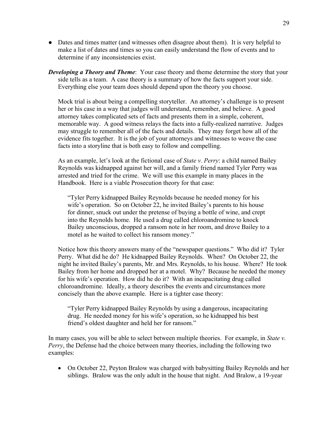- Dates and times matter (and witnesses often disagree about them). It is very helpful to make a list of dates and times so you can easily understand the flow of events and to determine if any inconsistencies exist.
- **Developing a Theory and Theme**: Your case theory and theme determine the story that your side tells as a team. A case theory is a summary of how the facts support your side. Everything else your team does should depend upon the theory you choose.

Mock trial is about being a compelling storyteller. An attorney's challenge is to present her or his case in a way that judges will understand, remember, and believe. A good attorney takes complicated sets of facts and presents them in a simple, coherent, memorable way. A good witness relays the facts into a fully-realized narrative. Judges may struggle to remember all of the facts and details. They may forget how all of the evidence fits together. It is the job of your attorneys and witnesses to weave the case facts into a storyline that is both easy to follow and compelling.

As an example, let's look at the fictional case of *State v. Perry*: a child named Bailey Reynolds was kidnapped against her will, and a family friend named Tyler Perry was arrested and tried for the crime. We will use this example in many places in the Handbook. Here is a viable Prosecution theory for that case:

"Tyler Perry kidnapped Bailey Reynolds because he needed money for his wife's operation. So on October 22, he invited Bailey's parents to his house for dinner, snuck out under the pretense of buying a bottle of wine, and crept into the Reynolds home. He used a drug called chloroandromine to knock Bailey unconscious, dropped a ransom note in her room, and drove Bailey to a motel as he waited to collect his ransom money."

Notice how this theory answers many of the "newspaper questions." Who did it? Tyler Perry. What did he do? He kidnapped Bailey Reynolds. When? On October 22, the night he invited Bailey's parents, Mr. and Mrs. Reynolds, to his house. Where? He took Bailey from her home and dropped her at a motel. Why? Because he needed the money for his wife's operation. How did he do it? With an incapacitating drug called chloroandromine. Ideally, a theory describes the events and circumstances more concisely than the above example. Here is a tighter case theory:

"Tyler Perry kidnapped Bailey Reynolds by using a dangerous, incapacitating drug. He needed money for his wife's operation, so he kidnapped his best friend's oldest daughter and held her for ransom."

In many cases, you will be able to select between multiple theories. For example, in *State v. Perry*, the Defense had the choice between many theories, including the following two examples:

• On October 22, Peyton Bralow was charged with babysitting Bailey Reynolds and her siblings. Bralow was the only adult in the house that night. And Bralow, a 19-year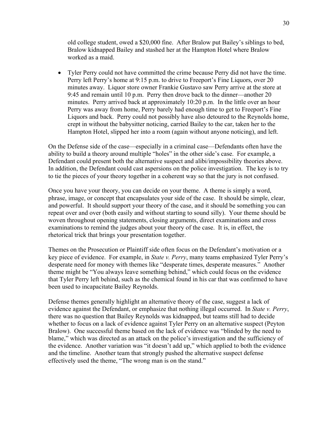old college student, owed a \$20,000 fine. After Bralow put Bailey's siblings to bed, Bralow kidnapped Bailey and stashed her at the Hampton Hotel where Bralow worked as a maid.

• Tyler Perry could not have committed the crime because Perry did not have the time. Perry left Perry's home at 9:15 p.m. to drive to Freeport's Fine Liquors, over 20 minutes away. Liquor store owner Frankie Gustavo saw Perry arrive at the store at 9:45 and remain until 10 p.m. Perry then drove back to the dinner—another 20 minutes. Perry arrived back at approximately 10:20 p.m. In the little over an hour Perry was away from home, Perry barely had enough time to get to Freeport's Fine Liquors and back. Perry could not possibly have also detoured to the Reynolds home, crept in without the babysitter noticing, carried Bailey to the car, taken her to the Hampton Hotel, slipped her into a room (again without anyone noticing), and left.

On the Defense side of the case—especially in a criminal case—Defendants often have the ability to build a theory around multiple "holes" in the other side's case. For example, a Defendant could present both the alternative suspect and alibi/impossibility theories above. In addition, the Defendant could cast aspersions on the police investigation. The key is to try to tie the pieces of your theory together in a coherent way so that the jury is not confused.

Once you have your theory, you can decide on your theme. A theme is simply a word, phrase, image, or concept that encapsulates your side of the case. It should be simple, clear, and powerful. It should support your theory of the case, and it should be something you can repeat over and over (both easily and without starting to sound silly). Your theme should be woven throughout opening statements, closing arguments, direct examinations and cross examinations to remind the judges about your theory of the case. It is, in effect, the rhetorical trick that brings your presentation together.

Themes on the Prosecution or Plaintiff side often focus on the Defendant's motivation or a key piece of evidence. For example, in *State v. Perry*, many teams emphasized Tyler Perry's desperate need for money with themes like "desperate times, desperate measures." Another theme might be "You always leave something behind," which could focus on the evidence that Tyler Perry left behind, such as the chemical found in his car that was confirmed to have been used to incapacitate Bailey Reynolds.

Defense themes generally highlight an alternative theory of the case, suggest a lack of evidence against the Defendant, or emphasize that nothing illegal occurred. In *State v. Perry*, there was no question that Bailey Reynolds was kidnapped, but teams still had to decide whether to focus on a lack of evidence against Tyler Perry on an alternative suspect (Peyton Bralow). One successful theme based on the lack of evidence was "blinded by the need to blame," which was directed as an attack on the police's investigation and the sufficiency of the evidence. Another variation was "it doesn't add up," which applied to both the evidence and the timeline. Another team that strongly pushed the alternative suspect defense effectively used the theme, "The wrong man is on the stand."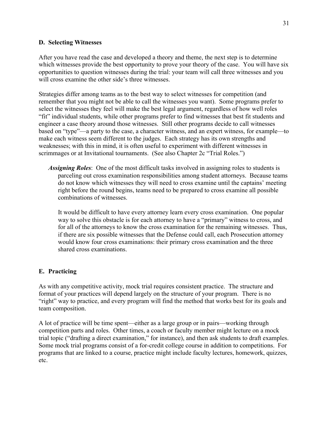#### **D. Selecting Witnesses**

After you have read the case and developed a theory and theme, the next step is to determine which witnesses provide the best opportunity to prove your theory of the case. You will have six opportunities to question witnesses during the trial: your team will call three witnesses and you will cross examine the other side's three witnesses.

Strategies differ among teams as to the best way to select witnesses for competition (and remember that you might not be able to call the witnesses you want). Some programs prefer to select the witnesses they feel will make the best legal argument, regardless of how well roles "fit" individual students, while other programs prefer to find witnesses that best fit students and engineer a case theory around those witnesses. Still other programs decide to call witnesses based on "type"—a party to the case, a character witness, and an expert witness, for example—to make each witness seem different to the judges. Each strategy has its own strengths and weaknesses; with this in mind, it is often useful to experiment with different witnesses in scrimmages or at Invitational tournaments. (See also Chapter 2c "Trial Roles.")

*Assigning Roles*: One of the most difficult tasks involved in assigning roles to students is parceling out cross examination responsibilities among student attorneys. Because teams do not know which witnesses they will need to cross examine until the captains' meeting right before the round begins, teams need to be prepared to cross examine all possible combinations of witnesses.

It would be difficult to have every attorney learn every cross examination. One popular way to solve this obstacle is for each attorney to have a "primary" witness to cross, and for all of the attorneys to know the cross examination for the remaining witnesses. Thus, if there are six possible witnesses that the Defense could call, each Prosecution attorney would know four cross examinations: their primary cross examination and the three shared cross examinations.

#### **E. Practicing**

As with any competitive activity, mock trial requires consistent practice. The structure and format of your practices will depend largely on the structure of your program. There is no "right" way to practice, and every program will find the method that works best for its goals and team composition.

A lot of practice will be time spent—either as a large group or in pairs—working through competition parts and roles. Other times, a coach or faculty member might lecture on a mock trial topic ("drafting a direct examination," for instance), and then ask students to draft examples. Some mock trial programs consist of a for-credit college course in addition to competitions. For programs that are linked to a course, practice might include faculty lectures, homework, quizzes, etc.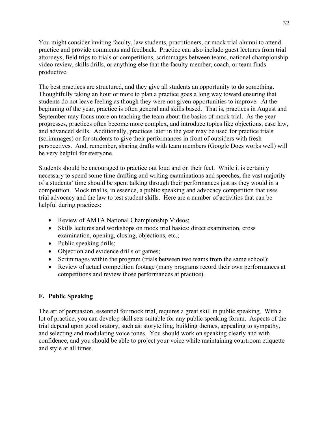You might consider inviting faculty, law students, practitioners, or mock trial alumni to attend practice and provide comments and feedback. Practice can also include guest lectures from trial attorneys, field trips to trials or competitions, scrimmages between teams, national championship video review, skills drills, or anything else that the faculty member, coach, or team finds productive.

The best practices are structured, and they give all students an opportunity to do something. Thoughtfully taking an hour or more to plan a practice goes a long way toward ensuring that students do not leave feeling as though they were not given opportunities to improve. At the beginning of the year, practice is often general and skills based. That is, practices in August and September may focus more on teaching the team about the basics of mock trial. As the year progresses, practices often become more complex, and introduce topics like objections, case law, and advanced skills. Additionally, practices later in the year may be used for practice trials (scrimmages) or for students to give their performances in front of outsiders with fresh perspectives. And, remember, sharing drafts with team members (Google Docs works well) will be very helpful for everyone.

Students should be encouraged to practice out loud and on their feet. While it is certainly necessary to spend some time drafting and writing examinations and speeches, the vast majority of a students' time should be spent talking through their performances just as they would in a competition. Mock trial is, in essence, a public speaking and advocacy competition that uses trial advocacy and the law to test student skills. Here are a number of activities that can be helpful during practices:

- Review of AMTA National Championship Videos;
- Skills lectures and workshops on mock trial basics: direct examination, cross examination, opening, closing, objections, etc.;
- Public speaking drills;
- Objection and evidence drills or games;
- Scrimmages within the program (trials between two teams from the same school);
- Review of actual competition footage (many programs record their own performances at competitions and review those performances at practice).

#### **F. Public Speaking**

The art of persuasion, essential for mock trial, requires a great skill in public speaking. With a lot of practice, you can develop skill sets suitable for any public speaking forum. Aspects of the trial depend upon good oratory, such as: storytelling, building themes, appealing to sympathy, and selecting and modulating voice tones. You should work on speaking clearly and with confidence, and you should be able to project your voice while maintaining courtroom etiquette and style at all times.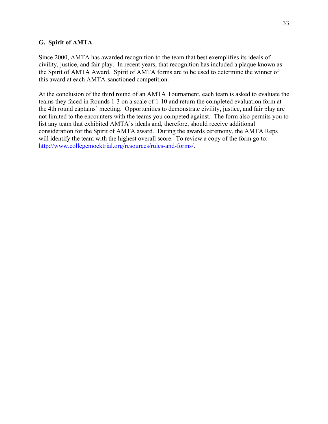#### **G. Spirit of AMTA**

Since 2000, AMTA has awarded recognition to the team that best exemplifies its ideals of civility, justice, and fair play. In recent years, that recognition has included a plaque known as the Spirit of AMTA Award. Spirit of AMTA forms are to be used to determine the winner of this award at each AMTA-sanctioned competition.

At the conclusion of the third round of an AMTA Tournament, each team is asked to evaluate the teams they faced in Rounds 1-3 on a scale of 1-10 and return the completed evaluation form at the 4th round captains' meeting. Opportunities to demonstrate civility, justice, and fair play are not limited to the encounters with the teams you competed against. The form also permits you to list any team that exhibited AMTA's ideals and, therefore, should receive additional consideration for the Spirit of AMTA award. During the awards ceremony, the AMTA Reps will identify the team with the highest overall score. To review a copy of the form go to: http://www.collegemocktrial.org/resources/rules-and-forms/.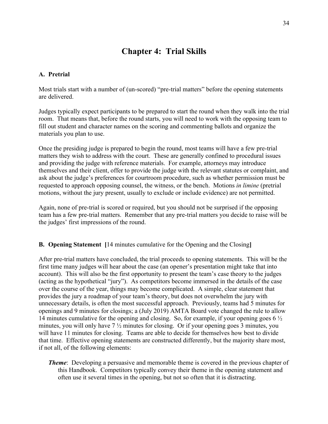## **Chapter 4: Trial Skills**

#### **A. Pretrial**

Most trials start with a number of (un-scored) "pre-trial matters" before the opening statements are delivered.

Judges typically expect participants to be prepared to start the round when they walk into the trial room. That means that, before the round starts, you will need to work with the opposing team to fill out student and character names on the scoring and commenting ballots and organize the materials you plan to use.

Once the presiding judge is prepared to begin the round, most teams will have a few pre-trial matters they wish to address with the court. These are generally confined to procedural issues and providing the judge with reference materials. For example, attorneys may introduce themselves and their client, offer to provide the judge with the relevant statutes or complaint, and ask about the judge's preferences for courtroom procedure, such as whether permission must be requested to approach opposing counsel, the witness, or the bench. Motions *in limine* (pretrial motions, without the jury present, usually to exclude or include evidence) are not permitted.

Again, none of pre-trial is scored or required, but you should not be surprised if the opposing team has a few pre-trial matters. Remember that any pre-trial matters you decide to raise will be the judges' first impressions of the round.

#### **B. Opening Statement [**14 minutes cumulative for the Opening and the Closing**]**

After pre-trial matters have concluded, the trial proceeds to opening statements. This will be the first time many judges will hear about the case (an opener's presentation might take that into account). This will also be the first opportunity to present the team's case theory to the judges (acting as the hypothetical "jury"). As competitors become immersed in the details of the case over the course of the year, things may become complicated. A simple, clear statement that provides the jury a roadmap of your team's theory, but does not overwhelm the jury with unnecessary details, is often the most successful approach. Previously, teams had 5 minutes for openings and 9 minutes for closings; a (July 2019) AMTA Board vote changed the rule to allow 14 minutes cumulative for the opening and closing. So, for example, if your opening goes  $6\frac{1}{2}$ minutes, you will only have 7 ½ minutes for closing. Or if your opening goes 3 minutes, you will have 11 minutes for closing. Teams are able to decide for themselves how best to divide that time. Effective opening statements are constructed differently, but the majority share most, if not all, of the following elements:

*Theme*: Developing a persuasive and memorable theme is covered in the previous chapter of this Handbook. Competitors typically convey their theme in the opening statement and often use it several times in the opening, but not so often that it is distracting.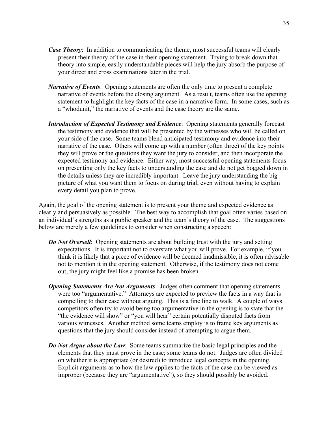- *Case Theory*: In addition to communicating the theme, most successful teams will clearly present their theory of the case in their opening statement. Trying to break down that theory into simple, easily understandable pieces will help the jury absorb the purpose of your direct and cross examinations later in the trial.
- *Narrative of Events*: Opening statements are often the only time to present a complete narrative of events before the closing argument. As a result, teams often use the opening statement to highlight the key facts of the case in a narrative form. In some cases, such as a "whodunit," the narrative of events and the case theory are the same.
- *Introduction of Expected Testimony and Evidence*: Opening statements generally forecast the testimony and evidence that will be presented by the witnesses who will be called on your side of the case. Some teams blend anticipated testimony and evidence into their narrative of the case. Others will come up with a number (often three) of the key points they will prove or the questions they want the jury to consider, and then incorporate the expected testimony and evidence. Either way, most successful opening statements focus on presenting only the key facts to understanding the case and do not get bogged down in the details unless they are incredibly important. Leave the jury understanding the big picture of what you want them to focus on during trial, even without having to explain every detail you plan to prove.

Again, the goal of the opening statement is to present your theme and expected evidence as clearly and persuasively as possible. The best way to accomplish that goal often varies based on an individual's strengths as a public speaker and the team's theory of the case. The suggestions below are merely a few guidelines to consider when constructing a speech:

- *Do Not Oversell:* Opening statements are about building trust with the jury and setting expectations. It is important not to overstate what you will prove. For example, if you think it is likely that a piece of evidence will be deemed inadmissible, it is often advisable not to mention it in the opening statement. Otherwise, if the testimony does not come out, the jury might feel like a promise has been broken.
- *Opening Statements Are Not Arguments*: Judges often comment that opening statements were too "argumentative." Attorneys are expected to preview the facts in a way that is compelling to their case without arguing. This is a fine line to walk. A couple of ways competitors often try to avoid being too argumentative in the opening is to state that the "the evidence will show" or "you will hear" certain potentially disputed facts from various witnesses. Another method some teams employ is to frame key arguments as questions that the jury should consider instead of attempting to argue them.
- *Do Not Argue about the Law*: Some teams summarize the basic legal principles and the elements that they must prove in the case; some teams do not. Judges are often divided on whether it is appropriate (or desired) to introduce legal concepts in the opening. Explicit arguments as to how the law applies to the facts of the case can be viewed as improper (because they are "argumentative"), so they should possibly be avoided.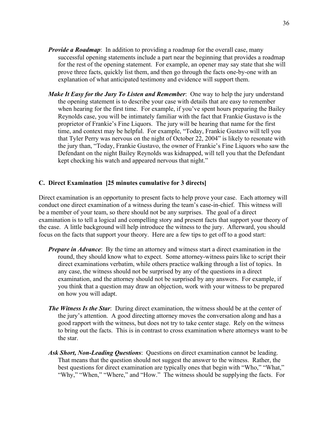- *Provide a Roadmap*: In addition to providing a roadmap for the overall case, many successful opening statements include a part near the beginning that provides a roadmap for the rest of the opening statement. For example, an opener may say state that she will prove three facts, quickly list them, and then go through the facts one-by-one with an explanation of what anticipated testimony and evidence will support them.
- *Make It Easy for the Jury To Listen and Remember*: One way to help the jury understand the opening statement is to describe your case with details that are easy to remember when hearing for the first time. For example, if you've spent hours preparing the Bailey Reynolds case, you will be intimately familiar with the fact that Frankie Gustavo is the proprietor of Frankie's Fine Liquors. The jury will be hearing that name for the first time, and context may be helpful. For example, "Today, Frankie Gustavo will tell you that Tyler Perry was nervous on the night of October 22, 2004" is likely to resonate with the jury than, "Today, Frankie Gustavo, the owner of Frankie's Fine Liquors who saw the Defendant on the night Bailey Reynolds was kidnapped, will tell you that the Defendant kept checking his watch and appeared nervous that night."

#### **C. Direct Examination [25 minutes cumulative for 3 directs]**

Direct examination is an opportunity to present facts to help prove your case. Each attorney will conduct one direct examination of a witness during the team's case-in-chief. This witness will be a member of your team, so there should not be any surprises. The goal of a direct examination is to tell a logical and compelling story and present facts that support your theory of the case. A little background will help introduce the witness to the jury. Afterward, you should focus on the facts that support your theory. Here are a few tips to get off to a good start:

- *Prepare in Advance*: By the time an attorney and witness start a direct examination in the round, they should know what to expect. Some attorney-witness pairs like to script their direct examinations verbatim, while others practice walking through a list of topics. In any case, the witness should not be surprised by any of the questions in a direct examination, and the attorney should not be surprised by any answers. For example, if you think that a question may draw an objection, work with your witness to be prepared on how you will adapt.
- *The Witness Is the Star*: During direct examination, the witness should be at the center of the jury's attention. A good directing attorney moves the conversation along and has a good rapport with the witness, but does not try to take center stage. Rely on the witness to bring out the facts. This is in contrast to cross examination where attorneys want to be the star.
- *Ask Short, Non-Leading Questions*: Questions on direct examination cannot be leading. That means that the question should not suggest the answer to the witness. Rather, the best questions for direct examination are typically ones that begin with "Who," "What," "Why," "When," "Where," and "How." The witness should be supplying the facts. For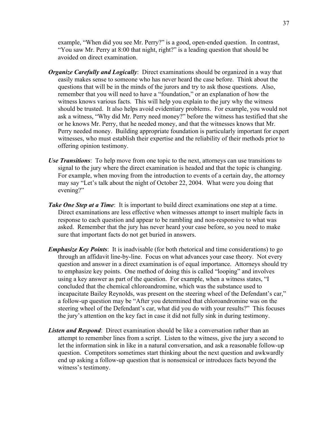example, "When did you see Mr. Perry?" is a good, open-ended question. In contrast, "You saw Mr. Perry at 8:00 that night, right?" is a leading question that should be avoided on direct examination.

- *Organize Carefully and Logically*: Direct examinations should be organized in a way that easily makes sense to someone who has never heard the case before. Think about the questions that will be in the minds of the jurors and try to ask those questions. Also, remember that you will need to have a "foundation," or an explanation of how the witness knows various facts. This will help you explain to the jury why the witness should be trusted. It also helps avoid evidentiary problems. For example, you would not ask a witness, "Why did Mr. Perry need money?" before the witness has testified that she or he knows Mr. Perry, that he needed money, and that the witnesses knows that Mr. Perry needed money. Building appropriate foundation is particularly important for expert witnesses, who must establish their expertise and the reliability of their methods prior to offering opinion testimony.
- *Use Transitions*: To help move from one topic to the next, attorneys can use transitions to signal to the jury where the direct examination is headed and that the topic is changing. For example, when moving from the introduction to events of a certain day, the attorney may say "Let's talk about the night of October 22, 2004. What were you doing that evening?"
- *Take One Step at a Time*: It is important to build direct examinations one step at a time. Direct examinations are less effective when witnesses attempt to insert multiple facts in response to each question and appear to be rambling and non-responsive to what was asked. Remember that the jury has never heard your case before, so you need to make sure that important facts do not get buried in answers.
- *Emphasize Key Points*: It is inadvisable (for both rhetorical and time considerations) to go through an affidavit line-by-line. Focus on what advances your case theory. Not every question and answer in a direct examination is of equal importance. Attorneys should try to emphasize key points. One method of doing this is called "looping" and involves using a key answer as part of the question. For example, when a witness states, "I concluded that the chemical chloroandromine, which was the substance used to incapacitate Bailey Reynolds, was present on the steering wheel of the Defendant's car," a follow-up question may be "After you determined that chloroandromine was on the steering wheel of the Defendant's car, what did you do with your results?" This focuses the jury's attention on the key fact in case it did not fully sink in during testimony.
- *Listen and Respond*: Direct examination should be like a conversation rather than an attempt to remember lines from a script. Listen to the witness, give the jury a second to let the information sink in like in a natural conversation, and ask a reasonable follow-up question. Competitors sometimes start thinking about the next question and awkwardly end up asking a follow-up question that is nonsensical or introduces facts beyond the witness's testimony.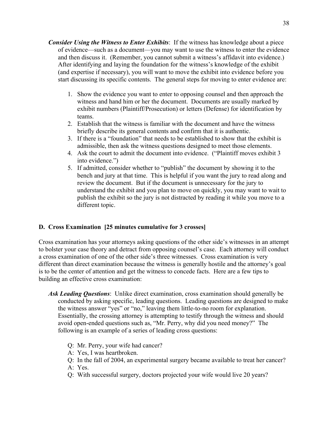- *Consider Using the Witness to Enter Exhibits*: If the witness has knowledge about a piece of evidence—such as a document—you may want to use the witness to enter the evidence and then discuss it. (Remember, you cannot submit a witness's affidavit into evidence.) After identifying and laying the foundation for the witness's knowledge of the exhibit (and expertise if necessary), you will want to move the exhibit into evidence before you start discussing its specific contents. The general steps for moving to enter evidence are:
	- 1. Show the evidence you want to enter to opposing counsel and then approach the witness and hand him or her the document. Documents are usually marked by exhibit numbers (Plaintiff/Prosecution) or letters (Defense) for identification by teams.
	- 2. Establish that the witness is familiar with the document and have the witness briefly describe its general contents and confirm that it is authentic.
	- 3. If there is a "foundation" that needs to be established to show that the exhibit is admissible, then ask the witness questions designed to meet those elements.
	- 4. Ask the court to admit the document into evidence. ("Plaintiff moves exhibit 3 into evidence.")
	- 5. If admitted, consider whether to "publish" the document by showing it to the bench and jury at that time. This is helpful if you want the jury to read along and review the document. But if the document is unnecessary for the jury to understand the exhibit and you plan to move on quickly, you may want to wait to publish the exhibit so the jury is not distracted by reading it while you move to a different topic.

#### **D. Cross Examination [25 minutes cumulative for 3 crosses]**

Cross examination has your attorneys asking questions of the other side's witnesses in an attempt to bolster your case theory and detract from opposing counsel's case. Each attorney will conduct a cross examination of one of the other side's three witnesses. Cross examination is very different than direct examination because the witness is generally hostile and the attorney's goal is to be the center of attention and get the witness to concede facts. Here are a few tips to building an effective cross examination:

- *Ask Leading Questions*: Unlike direct examination, cross examination should generally be conducted by asking specific, leading questions. Leading questions are designed to make the witness answer "yes" or "no," leaving them little-to-no room for explanation. Essentially, the crossing attorney is attempting to testify through the witness and should avoid open-ended questions such as, "Mr. Perry, why did you need money?" The following is an example of a series of leading cross questions:
	- Q: Mr. Perry, your wife had cancer?
	- A: Yes, I was heartbroken.
	- Q: In the fall of 2004, an experimental surgery became available to treat her cancer?
	- A: Yes.
	- Q: With successful surgery, doctors projected your wife would live 20 years?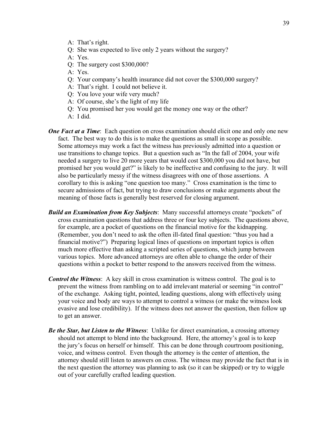- A: That's right.
- Q: She was expected to live only 2 years without the surgery?
- A: Yes.
- Q: The surgery cost \$300,000?
- A: Yes.
- Q: Your company's health insurance did not cover the \$300,000 surgery?
- A: That's right. I could not believe it.
- Q: You love your wife very much?
- A: Of course, she's the light of my life
- Q: You promised her you would get the money one way or the other?
- A: I did.
- *One Fact at a Time*: Each question on cross examination should elicit one and only one new fact. The best way to do this is to make the questions as small in scope as possible. Some attorneys may work a fact the witness has previously admitted into a question or use transitions to change topics. But a question such as "In the fall of 2004, your wife needed a surgery to live 20 more years that would cost \$300,000 you did not have, but promised her you would get?" is likely to be ineffective and confusing to the jury. It will also be particularly messy if the witness disagrees with one of those assertions. A corollary to this is asking "one question too many." Cross examination is the time to secure admissions of fact, but trying to draw conclusions or make arguments about the meaning of those facts is generally best reserved for closing argument.
- *Build an Examination from Key Subjects*: Many successful attorneys create "pockets" of cross examination questions that address three or four key subjects. The questions above, for example, are a pocket of questions on the financial motive for the kidnapping. (Remember, you don't need to ask the often ill-fated final question: "thus you had a financial motive?") Preparing logical lines of questions on important topics is often much more effective than asking a scripted series of questions, which jump between various topics. More advanced attorneys are often able to change the order of their questions within a pocket to better respond to the answers received from the witness.
- *Control the Witness*: A key skill in cross examination is witness control. The goal is to prevent the witness from rambling on to add irrelevant material or seeming "in control" of the exchange. Asking tight, pointed, leading questions, along with effectively using your voice and body are ways to attempt to control a witness (or make the witness look evasive and lose credibility). If the witness does not answer the question, then follow up to get an answer.
- *Be the Star, but Listen to the Witness*: Unlike for direct examination, a crossing attorney should not attempt to blend into the background. Here, the attorney's goal is to keep the jury's focus on herself or himself. This can be done through courtroom positioning, voice, and witness control. Even though the attorney is the center of attention, the attorney should still listen to answers on cross. The witness may provide the fact that is in the next question the attorney was planning to ask (so it can be skipped) or try to wiggle out of your carefully crafted leading question.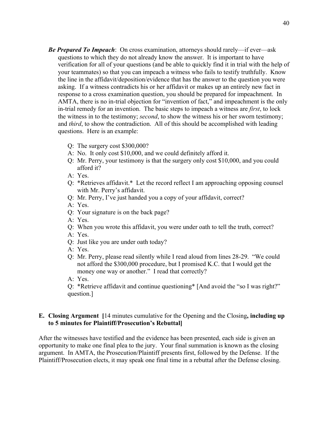- *Be Prepared To Impeach*: On cross examination, attorneys should rarely—if ever—ask questions to which they do not already know the answer. It is important to have verification for all of your questions (and be able to quickly find it in trial with the help of your teammates) so that you can impeach a witness who fails to testify truthfully. Know the line in the affidavit/deposition/evidence that has the answer to the question you were asking. If a witness contradicts his or her affidavit or makes up an entirely new fact in response to a cross examination question, you should be prepared for impeachment. In AMTA, there is no in-trial objection for "invention of fact," and impeachment is the only in-trial remedy for an invention. The basic steps to impeach a witness are *first*, to lock the witness in to the testimony; *second*, to show the witness his or her sworn testimony; and *third*, to show the contradiction. All of this should be accomplished with leading questions. Here is an example:
	- Q: The surgery cost \$300,000?
	- A: No. It only cost \$10,000, and we could definitely afford it.
	- Q: Mr. Perry, your testimony is that the surgery only cost \$10,000, and you could afford it?
	- A: Yes.
	- Q: \*Retrieves affidavit.\* Let the record reflect I am approaching opposing counsel with Mr. Perry's affidavit.
	- Q: Mr. Perry, I've just handed you a copy of your affidavit, correct?
	- A: Yes.
	- Q: Your signature is on the back page?
	- A: Yes.
	- Q: When you wrote this affidavit, you were under oath to tell the truth, correct?
	- A: Yes.
	- Q: Just like you are under oath today?
	- A: Yes.
	- Q: Mr. Perry, please read silently while I read aloud from lines 28-29. "We could not afford the \$300,000 procedure, but I promised K.C. that I would get the money one way or another." I read that correctly?
	- A: Yes.

Q: \*Retrieve affidavit and continue questioning\* [And avoid the "so I was right?" question.]

#### **E. Closing Argument [**14 minutes cumulative for the Opening and the Closing**, including up to 5 minutes for Plaintiff/Prosecution's Rebuttal]**

After the witnesses have testified and the evidence has been presented, each side is given an opportunity to make one final plea to the jury. Your final summation is known as the closing argument. In AMTA, the Prosecution/Plaintiff presents first, followed by the Defense. If the Plaintiff/Prosecution elects, it may speak one final time in a rebuttal after the Defense closing.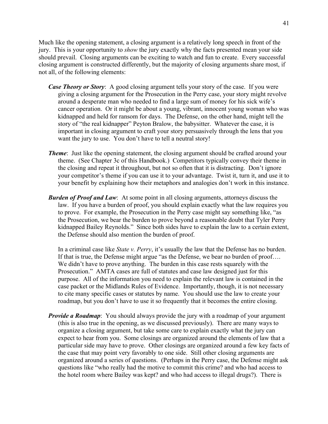Much like the opening statement, a closing argument is a relatively long speech in front of the jury. This is your opportunity to *show* the jury exactly why the facts presented mean your side should prevail. Closing arguments can be exciting to watch and fun to create. Every successful closing argument is constructed differently, but the majority of closing arguments share most, if not all, of the following elements:

- *Case Theory or Story*: A good closing argument tells your story of the case. If you were giving a closing argument for the Prosecution in the Perry case, your story might revolve around a desperate man who needed to find a large sum of money for his sick wife's cancer operation. Or it might be about a young, vibrant, innocent young woman who was kidnapped and held for ransom for days. The Defense, on the other hand, might tell the story of "the real kidnapper" Peyton Bralow, the babysitter. Whatever the case, it is important in closing argument to craft your story persuasively through the lens that you want the jury to use. You don't have to tell a neutral story!
- *Theme*: Just like the opening statement, the closing argument should be crafted around your theme. (See Chapter 3c of this Handbook.) Competitors typically convey their theme in the closing and repeat it throughout, but not so often that it is distracting. Don't ignore your competitor's theme if you can use it to your advantage. Twist it, turn it, and use it to your benefit by explaining how their metaphors and analogies don't work in this instance.
- *Burden of Proof and Law*: At some point in all closing arguments, attorneys discuss the law. If you have a burden of proof, you should explain exactly what the law requires you to prove. For example, the Prosecution in the Perry case might say something like, "as the Prosecution, we bear the burden to prove beyond a reasonable doubt that Tyler Perry kidnapped Bailey Reynolds." Since both sides have to explain the law to a certain extent, the Defense should also mention the burden of proof.

In a criminal case like *State v. Perry*, it's usually the law that the Defense has no burden. If that is true, the Defense might argue "as the Defense, we bear no burden of proof…. We didn't have to prove anything. The burden in this case rests squarely with the Prosecution." AMTA cases are full of statutes and case law designed just for this purpose. All of the information you need to explain the relevant law is contained in the case packet or the Midlands Rules of Evidence. Importantly, though, it is not necessary to cite many specific cases or statutes by name. You should use the law to create your roadmap, but you don't have to use it so frequently that it becomes the entire closing.

*Provide a Roadmap*: You should always provide the jury with a roadmap of your argument (this is also true in the opening, as we discussed previously). There are many ways to organize a closing argument, but take some care to explain exactly what the jury can expect to hear from you. Some closings are organized around the elements of law that a particular side may have to prove. Other closings are organized around a few key facts of the case that may point very favorably to one side. Still other closing arguments are organized around a series of questions. (Perhaps in the Perry case, the Defense might ask questions like "who really had the motive to commit this crime? and who had access to the hotel room where Bailey was kept? and who had access to illegal drugs?). There is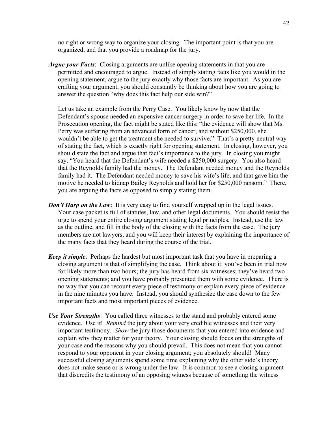no right or wrong way to organize your closing. The important point is that you are organized, and that you provide a roadmap for the jury.

*Argue your Facts*: Closing arguments are unlike opening statements in that you are permitted and encouraged to argue. Instead of simply stating facts like you would in the opening statement, argue to the jury exactly why those facts are important. As you are crafting your argument, you should constantly be thinking about how you are going to answer the question "why does this fact help our side win?"

Let us take an example from the Perry Case. You likely know by now that the Defendant's spouse needed an expensive cancer surgery in order to save her life. In the Prosecution opening, the fact might be stated like this: "the evidence will show that Ms. Perry was suffering from an advanced form of cancer, and without \$250,000, she wouldn't be able to get the treatment she needed to survive." That's a pretty neutral way of stating the fact, which is exactly right for opening statement. In closing, however, you should state the fact and argue that fact's importance to the jury. In closing you might say, "You heard that the Defendant's wife needed a \$250,000 surgery. You also heard that the Reynolds family had the money. The Defendant needed money and the Reynolds family had it. The Defendant needed money to save his wife's life, and that gave him the motive he needed to kidnap Bailey Reynolds and hold her for \$250,000 ransom." There, you are arguing the facts as opposed to simply stating them.

- *Don't Harp on the Law*: It is very easy to find yourself wrapped up in the legal issues. Your case packet is full of statutes, law, and other legal documents. You should resist the urge to spend your entire closing argument stating legal principles. Instead, use the law as the outline, and fill in the body of the closing with the facts from the case. The jury members are not lawyers, and you will keep their interest by explaining the importance of the many facts that they heard during the course of the trial.
- *Keep it simple*: Perhaps the hardest but most important task that you have in preparing a closing argument is that of simplifying the case. Think about it: you've been in trial now for likely more than two hours; the jury has heard from six witnesses; they've heard two opening statements; and you have probably presented them with some evidence. There is no way that you can recount every piece of testimony or explain every piece of evidence in the nine minutes you have. Instead, you should synthesize the case down to the few important facts and most important pieces of evidence.
- *Use Your Strengths*: You called three witnesses to the stand and probably entered some evidence. Use it! *Remind* the jury about your very credible witnesses and their very important testimony. *Show* the jury those documents that you entered into evidence and explain why they matter for your theory. Your closing should focus on the strengths of your case and the reasons why you should prevail. This does not mean that you cannot respond to your opponent in your closing argument; you absolutely should! Many successful closing arguments spend some time explaining why the other side's theory does not make sense or is wrong under the law. It is common to see a closing argument that discredits the testimony of an opposing witness because of something the witness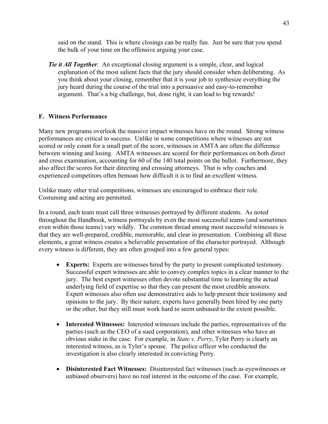said on the stand. This is where closings can be really fun. Just be sure that you spend the bulk of your time on the offensive arguing your case.

*Tie it All Together*: An exceptional closing argument is a simple, clear, and logical explanation of the most salient facts that the jury should consider when deliberating. As you think about your closing, remember that it is your job to synthesize everything the jury heard during the course of the trial into a persuasive and easy-to-remember argument. That's a big challenge, but, done right, it can lead to big rewards!

#### **F. Witness Performance**

Many new programs overlook the massive impact witnesses have on the round. Strong witness performances are critical to success. Unlike in some competitions where witnesses are not scored or only count for a small part of the score, witnesses in AMTA are often the difference between winning and losing. AMTA witnesses are scored for their performances on both direct and cross examination, accounting for 60 of the 140 total points on the ballot. Furthermore, they also affect the scores for their directing and crossing attorneys. That is why coaches and experienced competitors often bemoan how difficult it is to find an excellent witness.

Unlike many other trial competitions, witnesses are encouraged to embrace their role. Costuming and acting are permitted.

In a round, each team must call three witnesses portrayed by different students. As noted throughout the Handbook, witness portrayals by even the most successful teams (and sometimes even within those teams) vary wildly. The common thread among most successful witnesses is that they are well-prepared, credible, memorable, and clear in presentation. Combining all these elements, a great witness creates a believable presentation of the character portrayed. Although every witness is different, they are often grouped into a few general types:

- **Experts:** Experts are witnesses hired by the party to present complicated testimony. Successful expert witnesses are able to convey complex topics in a clear manner to the jury. The best expert witnesses often devote substantial time to learning the actual underlying field of expertise so that they can present the most credible answers. Expert witnesses also often use demonstrative aids to help present their testimony and opinions to the jury. By their nature, experts have generally been hired by one party or the other, but they still must work hard to seem unbiased to the extent possible.
- **Interested Witnesses:** Interested witnesses include the parties, representatives of the parties (such as the CEO of a sued corporation), and other witnesses who have an obvious stake in the case. For example, in *State v. Perry*, Tyler Perry is clearly an interested witness, as is Tyler's spouse. The police officer who conducted the investigation is also clearly interested in convicting Perry.
- **Disinterested Fact Witnesses:** Disinterested fact witnesses (such as eyewitnesses or unbiased observers) have no real interest in the outcome of the case. For example,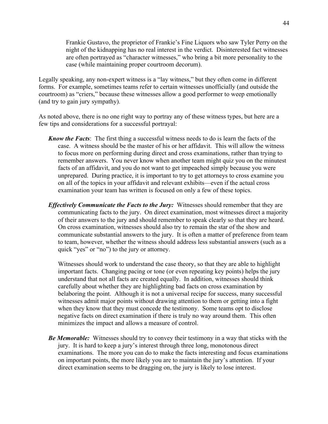Frankie Gustavo, the proprietor of Frankie's Fine Liquors who saw Tyler Perry on the night of the kidnapping has no real interest in the verdict. Disinterested fact witnesses are often portrayed as "character witnesses," who bring a bit more personality to the case (while maintaining proper courtroom decorum).

Legally speaking, any non-expert witness is a "lay witness," but they often come in different forms. For example, sometimes teams refer to certain witnesses unofficially (and outside the courtroom) as "criers," because these witnesses allow a good performer to weep emotionally (and try to gain jury sympathy).

As noted above, there is no one right way to portray any of these witness types, but here are a few tips and considerations for a successful portrayal:

- *Know the Facts*: The first thing a successful witness needs to do is learn the facts of the case. A witness should be the master of his or her affidavit. This will allow the witness to focus more on performing during direct and cross examinations, rather than trying to remember answers. You never know when another team might quiz you on the minutest facts of an affidavit, and you do not want to get impeached simply because you were unprepared. During practice, it is important to try to get attorneys to cross examine you on all of the topics in your affidavit and relevant exhibits—even if the actual cross examination your team has written is focused on only a few of these topics.
- *Effectively Communicate the Facts to the Jury:* Witnesses should remember that they are communicating facts to the jury. On direct examination, most witnesses direct a majority of their answers to the jury and should remember to speak clearly so that they are heard. On cross examination, witnesses should also try to remain the star of the show and communicate substantial answers to the jury. It is often a matter of preference from team to team, however, whether the witness should address less substantial answers (such as a quick "yes" or "no") to the jury or attorney.

Witnesses should work to understand the case theory, so that they are able to highlight important facts. Changing pacing or tone (or even repeating key points) helps the jury understand that not all facts are created equally. In addition, witnesses should think carefully about whether they are highlighting bad facts on cross examination by belaboring the point. Although it is not a universal recipe for success, many successful witnesses admit major points without drawing attention to them or getting into a fight when they know that they must concede the testimony. Some teams opt to disclose negative facts on direct examination if there is truly no way around them. This often minimizes the impact and allows a measure of control.

*Be Memorable:* Witnesses should try to convey their testimony in a way that sticks with the jury. It is hard to keep a jury's interest through three long, monotonous direct examinations. The more you can do to make the facts interesting and focus examinations on important points, the more likely you are to maintain the jury's attention. If your direct examination seems to be dragging on, the jury is likely to lose interest.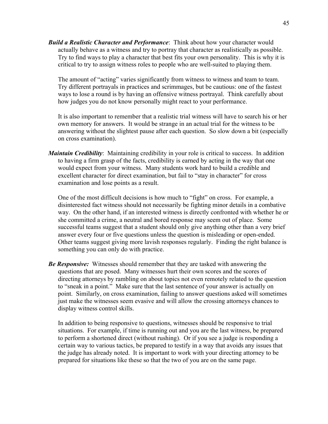*Build a Realistic Character and Performance*: Think about how your character would actually behave as a witness and try to portray that character as realistically as possible. Try to find ways to play a character that best fits your own personality. This is why it is critical to try to assign witness roles to people who are well-suited to playing them.

The amount of "acting" varies significantly from witness to witness and team to team. Try different portrayals in practices and scrimmages, but be cautious: one of the fastest ways to lose a round is by having an offensive witness portrayal. Think carefully about how judges you do not know personally might react to your performance.

It is also important to remember that a realistic trial witness will have to search his or her own memory for answers. It would be strange in an actual trial for the witness to be answering without the slightest pause after each question. So slow down a bit (especially on cross examination).

*Maintain Credibility*: Maintaining credibility in your role is critical to success. In addition to having a firm grasp of the facts, credibility is earned by acting in the way that one would expect from your witness. Many students work hard to build a credible and excellent character for direct examination, but fail to "stay in character" for cross examination and lose points as a result.

One of the most difficult decisions is how much to "fight" on cross. For example, a disinterested fact witness should not necessarily be fighting minor details in a combative way. On the other hand, if an interested witness is directly confronted with whether he or she committed a crime, a neutral and bored response may seem out of place. Some successful teams suggest that a student should only give anything other than a very brief answer every four or five questions unless the question is misleading or open-ended. Other teams suggest giving more lavish responses regularly. Finding the right balance is something you can only do with practice.

*Be Responsive:* Witnesses should remember that they are tasked with answering the questions that are posed. Many witnesses hurt their own scores and the scores of directing attorneys by rambling on about topics not even remotely related to the question to "sneak in a point." Make sure that the last sentence of your answer is actually on point. Similarly, on cross examination, failing to answer questions asked will sometimes just make the witnesses seem evasive and will allow the crossing attorneys chances to display witness control skills.

In addition to being responsive to questions, witnesses should be responsive to trial situations. For example, if time is running out and you are the last witness, be prepared to perform a shortened direct (without rushing). Or if you see a judge is responding a certain way to various tactics, be prepared to testify in a way that avoids any issues that the judge has already noted. It is important to work with your directing attorney to be prepared for situations like these so that the two of you are on the same page.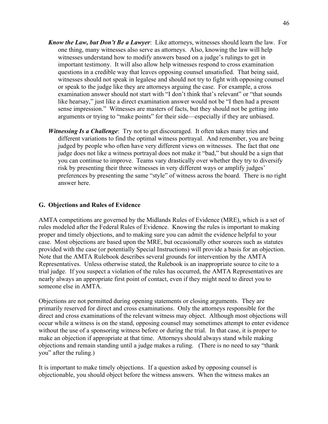- *Know the Law, but Don't Be a Lawyer*: Like attorneys, witnesses should learn the law. For one thing, many witnesses also serve as attorneys. Also, knowing the law will help witnesses understand how to modify answers based on a judge's rulings to get in important testimony. It will also allow help witnesses respond to cross examination questions in a credible way that leaves opposing counsel unsatisfied. That being said, witnesses should not speak in legalese and should not try to fight with opposing counsel or speak to the judge like they are attorneys arguing the case. For example, a cross examination answer should not start with "I don't think that's relevant" or "that sounds like hearsay," just like a direct examination answer would not be "I then had a present sense impression." Witnesses are masters of facts, but they should not be getting into arguments or trying to "make points" for their side—especially if they are unbiased.
- *Witnessing Is a Challenge*: Try not to get discouraged. It often takes many tries and different variations to find the optimal witness portrayal. And remember, you are being judged by people who often have very different views on witnesses. The fact that one judge does not like a witness portrayal does not make it "bad," but should be a sign that you can continue to improve. Teams vary drastically over whether they try to diversify risk by presenting their three witnesses in very different ways or amplify judges' preferences by presenting the same "style" of witness across the board. There is no right answer here.

#### **G. Objections and Rules of Evidence**

AMTA competitions are governed by the Midlands Rules of Evidence (MRE), which is a set of rules modeled after the Federal Rules of Evidence. Knowing the rules is important to making proper and timely objections, and to making sure you can admit the evidence helpful to your case. Most objections are based upon the MRE, but occasionally other sources such as statutes provided with the case (or potentially Special Instructions) will provide a basis for an objection. Note that the AMTA Rulebook describes several grounds for intervention by the AMTA Representatives. Unless otherwise stated, the Rulebook is an inappropriate source to cite to a trial judge. If you suspect a violation of the rules has occurred, the AMTA Representatives are nearly always an appropriate first point of contact, even if they might need to direct you to someone else in AMTA.

Objections are not permitted during opening statements or closing arguments. They are primarily reserved for direct and cross examinations. Only the attorneys responsible for the direct and cross examinations of the relevant witness may object. Although most objections will occur while a witness is on the stand, opposing counsel may sometimes attempt to enter evidence without the use of a sponsoring witness before or during the trial. In that case, it is proper to make an objection if appropriate at that time. Attorneys should always stand while making objections and remain standing until a judge makes a ruling. (There is no need to say "thank you" after the ruling.)

It is important to make timely objections. If a question asked by opposing counsel is objectionable, you should object before the witness answers. When the witness makes an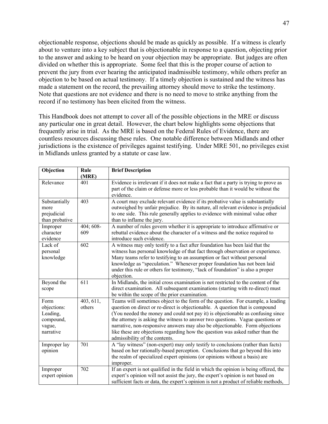objectionable response, objections should be made as quickly as possible. If a witness is clearly about to venture into a key subject that is objectionable in response to a question, objecting prior to the answer and asking to be heard on your objection may be appropriate. But judges are often divided on whether this is appropriate. Some feel that this is the proper course of action to prevent the jury from ever hearing the anticipated inadmissible testimony, while others prefer an objection to be based on actual testimony. If a timely objection is sustained and the witness has made a statement on the record, the prevailing attorney should move to strike the testimony. Note that questions are not evidence and there is no need to move to strike anything from the record if no testimony has been elicited from the witness.

This Handbook does not attempt to cover all of the possible objections in the MRE or discuss any particular one in great detail. However, the chart below highlights some objections that frequently arise in trial. As the MRE is based on the Federal Rules of Evidence, there are countless resources discussing these rules. One notable difference between Midlands and other jurisdictions is the existence of privileges against testifying. Under MRE 501, no privileges exist in Midlands unless granted by a statute or case law.

| Objection                                                           | Rule<br>(MRE)       | <b>Brief Description</b>                                                                                                                                                                                                                                                                                                                                                                                                                                                                                                                  |
|---------------------------------------------------------------------|---------------------|-------------------------------------------------------------------------------------------------------------------------------------------------------------------------------------------------------------------------------------------------------------------------------------------------------------------------------------------------------------------------------------------------------------------------------------------------------------------------------------------------------------------------------------------|
| Relevance                                                           | 401                 | Evidence is irrelevant if it does not make a fact that a party is trying to prove as<br>part of the claim or defense more or less probable than it would be without the<br>evidence.                                                                                                                                                                                                                                                                                                                                                      |
| Substantially<br>more<br>prejudicial<br>than probative              | 403                 | A court may exclude relevant evidence if its probative value is substantially<br>outweighed by unfair prejudice. By its nature, all relevant evidence is prejudicial<br>to one side. This rule generally applies to evidence with minimal value other<br>than to inflame the jury.                                                                                                                                                                                                                                                        |
| Improper<br>character<br>evidence                                   | 404; 608-<br>609    | A number of rules govern whether it is appropriate to introduce affirmative or<br>rebuttal evidence about the character of a witness and the notice required to<br>introduce such evidence.                                                                                                                                                                                                                                                                                                                                               |
| Lack of<br>personal<br>knowledge                                    | 602                 | A witness may only testify to a fact after foundation has been laid that the<br>witness has personal knowledge of that fact through observation or experience.<br>Many teams refer to testifying to an assumption or fact without personal<br>knowledge as "speculation." Whenever proper foundation has not been laid<br>under this rule or others for testimony, "lack of foundation" is also a proper<br>objection.                                                                                                                    |
| Beyond the<br>scope                                                 | 611                 | In Midlands, the initial cross examination is not restricted to the content of the<br>direct examination. All subsequent examinations (starting with re-direct) must<br>be within the scope of the prior examination.                                                                                                                                                                                                                                                                                                                     |
| Form<br>objections:<br>Leading,<br>compound,<br>vague,<br>narrative | 403, 611,<br>others | Teams will sometimes object to the form of the question. For example, a leading<br>question on direct or re-direct is objectionable. A question that is compound<br>(You needed the money and could not pay it) is objectionable as confusing since<br>the attorney is asking the witness to answer two questions. Vague questions or<br>narrative, non-responsive answers may also be objectionable. Form objections<br>like these are objections regarding how the question was asked rather than the<br>admissibility of the contents. |
| Improper lay<br>opinion                                             | 701                 | A "lay witness" (non-expert) may only testify to conclusions (rather than facts)<br>based on her rationally-based perception. Conclusions that go beyond this into<br>the realm of specialized expert opinions (or opinions without a basis) are<br>improper.                                                                                                                                                                                                                                                                             |
| Improper<br>expert opinion                                          | 702                 | If an expert is not qualified in the field in which the opinion is being offered, the<br>expert's opinion will not assist the jury, the expert's opinion is not based on<br>sufficient facts or data, the expert's opinion is not a product of reliable methods,                                                                                                                                                                                                                                                                          |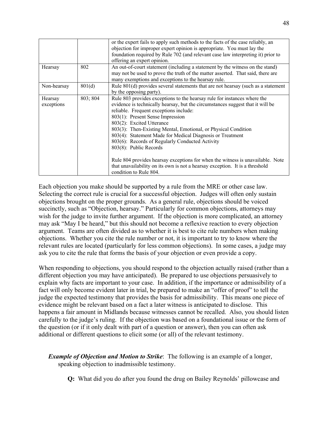|                       |          | or the expert fails to apply such methods to the facts of the case reliably, an<br>objection for improper expert opinion is appropriate. You must lay the<br>foundation required by Rule 702 (and relevant case law interpreting it) prior to<br>offering an expert opinion.                                                                                                                                                                                                                                                                                                                                                                                                  |
|-----------------------|----------|-------------------------------------------------------------------------------------------------------------------------------------------------------------------------------------------------------------------------------------------------------------------------------------------------------------------------------------------------------------------------------------------------------------------------------------------------------------------------------------------------------------------------------------------------------------------------------------------------------------------------------------------------------------------------------|
| Hearsay               | 802      | An out-of-court statement (including a statement by the witness on the stand)<br>may not be used to prove the truth of the matter asserted. That said, there are<br>many exemptions and exceptions to the hearsay rule.                                                                                                                                                                                                                                                                                                                                                                                                                                                       |
| Non-hearsay           | 801(d)   | Rule 801(d) provides several statements that are not hearsay (such as a statement<br>by the opposing party).                                                                                                                                                                                                                                                                                                                                                                                                                                                                                                                                                                  |
| Hearsay<br>exceptions | 803; 804 | Rule 803 provides exceptions to the hearsay rule for instances where the<br>evidence is technically hearsay, but the circumstances suggest that it will be<br>reliable. Frequent exceptions include:<br>803(1): Present Sense Impression<br>803(2): Excited Utterance<br>803(3): Then-Existing Mental, Emotional, or Physical Condition<br>803(4): Statement Made for Medical Diagnosis or Treatment<br>803(6): Records of Regularly Conducted Activity<br>803(8): Public Records<br>Rule 804 provides hearsay exceptions for when the witness is unavailable. Note<br>that unavailability on its own is not a hearsay exception. It is a threshold<br>condition to Rule 804. |

Each objection you make should be supported by a rule from the MRE or other case law. Selecting the correct rule is crucial for a successful objection. Judges will often only sustain objections brought on the proper grounds. As a general rule, objections should be voiced succinctly, such as "Objection, hearsay." Particularly for common objections, attorneys may wish for the judge to invite further argument. If the objection is more complicated, an attorney may ask "May I be heard," but this should not become a reflexive reaction to every objection argument. Teams are often divided as to whether it is best to cite rule numbers when making objections. Whether you cite the rule number or not, it is important to try to know where the relevant rules are located (particularly for less common objections). In some cases, a judge may ask you to cite the rule that forms the basis of your objection or even provide a copy.

When responding to objections, you should respond to the objection actually raised (rather than a different objection you may have anticipated). Be prepared to use objections persuasively to explain why facts are important to your case. In addition, if the importance or admissibility of a fact will only become evident later in trial, be prepared to make an "offer of proof" to tell the judge the expected testimony that provides the basis for admissibility. This means one piece of evidence might be relevant based on a fact a later witness is anticipated to disclose. This happens a fair amount in Midlands because witnesses cannot be recalled. Also, you should listen carefully to the judge's ruling. If the objection was based on a foundational issue or the form of the question (or if it only dealt with part of a question or answer), then you can often ask additional or different questions to elicit some (or all) of the relevant testimony.

*Example of Objection and Motion to Strike*: The following is an example of a longer, speaking objection to inadmissible testimony.

**Q:** What did you do after you found the drug on Bailey Reynolds' pillowcase and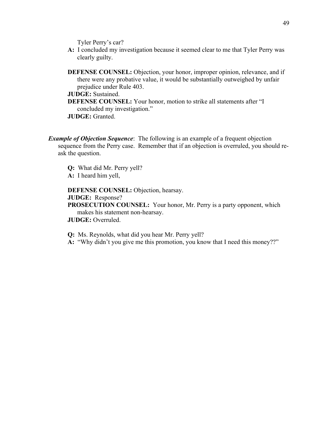Tyler Perry's car?

**A:** I concluded my investigation because it seemed clear to me that Tyler Perry was clearly guilty.

**DEFENSE COUNSEL:** Objection, your honor, improper opinion, relevance, and if there were any probative value, it would be substantially outweighed by unfair prejudice under Rule 403.

#### **JUDGE:** Sustained.

**DEFENSE COUNSEL:** Your honor, motion to strike all statements after "I concluded my investigation."

**JUDGE:** Granted.

*Example of Objection Sequence*: The following is an example of a frequent objection sequence from the Perry case. Remember that if an objection is overruled, you should reask the question.

**Q:** What did Mr. Perry yell?

**A:** I heard him yell,

**DEFENSE COUNSEL:** Objection, hearsay.

**JUDGE:** Response?

**PROSECUTION COUNSEL:** Your honor, Mr. Perry is a party opponent, which makes his statement non-hearsay.

**JUDGE:** Overruled.

**Q:** Ms. Reynolds, what did you hear Mr. Perry yell?

**A:** "Why didn't you give me this promotion, you know that I need this money??"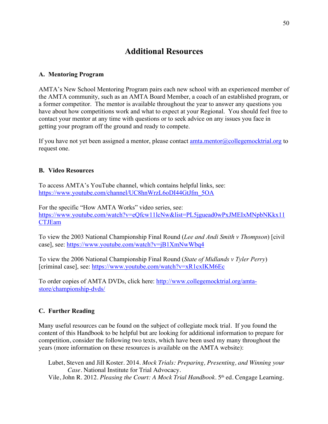## **Additional Resources**

#### **A. Mentoring Program**

AMTA's New School Mentoring Program pairs each new school with an experienced member of the AMTA community, such as an AMTA Board Member, a coach of an established program, or a former competitor. The mentor is available throughout the year to answer any questions you have about how competitions work and what to expect at your Regional. You should feel free to contact your mentor at any time with questions or to seek advice on any issues you face in getting your program off the ground and ready to compete.

If you have not yet been assigned a mentor, please contact  $amta.mentor@collegemocktrial.org$  to request one.

#### **B. Video Resources**

To access AMTA's YouTube channel, which contains helpful links, see: https://www.youtube.com/channel/UC8hnWrzL6oDI44GtJfm\_5OA

For the specific "How AMTA Works" video series, see: https://www.youtube.com/watch?v=eQfcw11lcNw&list=PL5jguead0wPxJMEIxMNpbNKkx11 CTJEam

To view the 2003 National Championship Final Round (*Lee and Andi Smith v Thompson*) [civil case], see: https://www.youtube.com/watch?v=jB1XmNwWbq4

To view the 2006 National Championship Final Round (*State of Midlands v Tyler Perry*) [criminal case], see: https://www.youtube.com/watch?v=xR1cxIKM6Ec

To order copies of AMTA DVDs, click here: http://www.collegemocktrial.org/amtastore/championship-dvds/

#### **C. Further Reading**

Many useful resources can be found on the subject of collegiate mock trial. If you found the content of this Handbook to be helpful but are looking for additional information to prepare for competition, consider the following two texts, which have been used my many throughout the years (more information on these resources is available on the AMTA website):

Lubet, Steven and Jill Koster. 2014. *Mock Trials: Preparing, Presenting, and Winning your Case*. National Institute for Trial Advocacy. Vile, John R. 2012. *Pleasing the Court: A Mock Trial Handbook*. 5th ed. Cengage Learning.